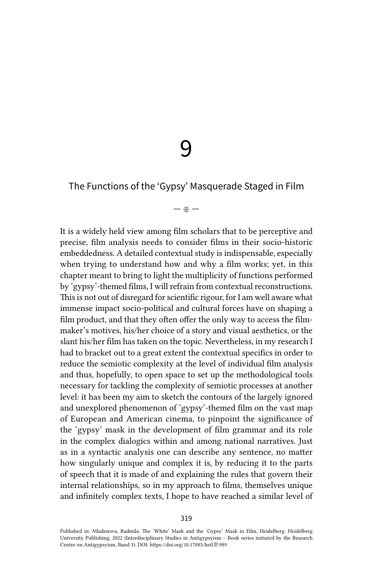9

# The Functions of the 'Gypsy' Masquerade Staged in Film

#### — ※ —

It is a widely held view among film scholars that to be perceptive and precise, film analysis needs to consider films in their socio-historic embeddedness. A detailed contextual study is indispensable, especially when trying to understand how and why a film works; yet, in this chapter meant to bring to light the multiplicity of functions performed by 'gypsy'-themed films, I will refrain from contextual reconstructions. This is not out of disregard for scientific rigour, for I am well aware what immense impact socio-political and cultural forces have on shaping a film product, and that they often offer the only way to access the filmmaker's motives, his/her choice of a story and visual aesthetics, or the slant his/her film has taken on the topic. Nevertheless, in my research I had to bracket out to a great extent the contextual specifics in order to reduce the semiotic complexity at the level of individual film analysis and thus, hopefully, to open space to set up the methodological tools necessary for tackling the complexity of semiotic processes at another level: it has been my aim to sketch the contours of the largely ignored and unexplored phenomenon of 'gypsy'-themed film on the vast map of European and American cinema, to pinpoint the significance of the 'gypsy' mask in the development of film grammar and its role in the complex dialogics within and among national narratives. Just as in a syntactic analysis one can describe any sentence, no matter how singularly unique and complex it is, by reducing it to the parts of speech that it is made of and explaining the rules that govern their internal relationships, so in my approach to films, themselves unique and infinitely complex texts, I hope to have reached a similar level of

Published in: Mladenova, Radmila: The 'White' Mask and the 'Gypsy' Mask in Film, Heidelberg: Heidelberg University Publishing, 2022 (Interdisciplinary Studies in Antigypsyism – Book series initiated by the Research Centre on Antigypsyism, Band 3). DOI:<https://doi.org/10.17885/heiUP.989>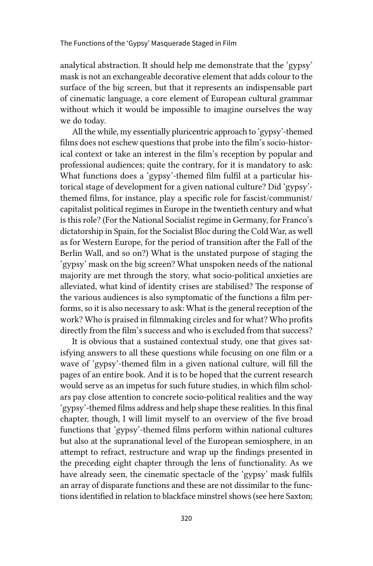analytical abstraction. It should help me demonstrate that the 'gypsy' mask is not an exchangeable decorative element that adds colour to the surface of the big screen, but that it represents an indispensable part of cinematic language, a core element of European cultural grammar without which it would be impossible to imagine ourselves the way we do today.

All the while, my essentially pluricentric approach to 'gypsy'-themed films does not eschew questions that probe into the film's socio-historical context or take an interest in the film's reception by popular and professional audiences; quite the contrary, for it is mandatory to ask: What functions does a 'gypsy'-themed film fulfil at a particular historical stage of development for a given national culture? Did 'gypsy' themed films, for instance, play a specific role for fascist/communist/ capitalist political regimes in Europe in the twentieth century and what is this role? (For the National Socialist regime in Germany, for Franco's dictatorship in Spain, for the Socialist Bloc during the Cold War, as well as for Western Europe, for the period of transition after the Fall of the Berlin Wall, and so on?) What is the unstated purpose of staging the 'gypsy' mask on the big screen? What unspoken needs of the national majority are met through the story, what socio-political anxieties are alleviated, what kind of identity crises are stabilised? The response of the various audiences is also symptomatic of the functions a film performs, so it is also necessary to ask: What is the general reception of the work? Who is praised in filmmaking circles and for what? Who profits directly from the film's success and who is excluded from that success?

It is obvious that a sustained contextual study, one that gives satisfying answers to all these questions while focusing on one film or a wave of 'gypsy'-themed film in a given national culture, will fill the pages of an entire book. And it is to be hoped that the current research would serve as an impetus for such future studies, in which film scholars pay close attention to concrete socio-political realities and the way 'gypsy'-themed films address and help shape these realities. In this final chapter, though, I will limit myself to an overview of the five broad functions that 'gypsy'-themed films perform within national cultures but also at the supranational level of the European semiosphere, in an attempt to refract, restructure and wrap up the findings presented in the preceding eight chapter through the lens of functionality. As we have already seen, the cinematic spectacle of the 'gypsy' mask fulfils an array of disparate functions and these are not dissimilar to the functions identified in relation to blackface minstrel shows (see here Saxton;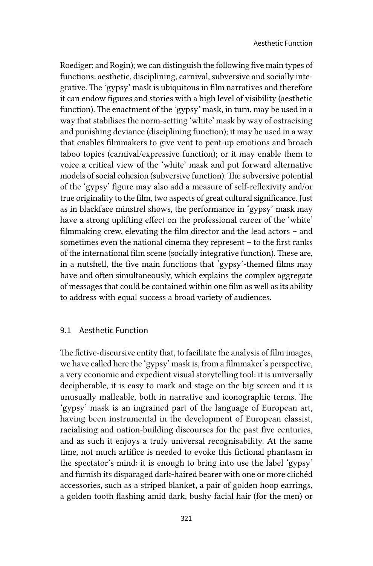Roediger; and Rogin); we can distinguish the following five main types of functions: aesthetic, disciplining, carnival, subversive and socially integrative. The 'gypsy' mask is ubiquitous in film narratives and therefore it can endow figures and stories with a high level of visibility (aesthetic function). The enactment of the 'gypsy' mask, in turn, may be used in a way that stabilises the norm-setting 'white' mask by way of ostracising and punishing deviance (disciplining function); it may be used in a way that enables filmmakers to give vent to pent-up emotions and broach taboo topics (carnival/expressive function); or it may enable them to voice a critical view of the 'white' mask and put forward alternative models of social cohesion (subversive function). The subversive potential of the 'gypsy' figure may also add a measure of self-reflexivity and/or true originality to the film, two aspects of great cultural significance. Just as in blackface minstrel shows, the performance in 'gypsy' mask may have a strong uplifting effect on the professional career of the 'white' filmmaking crew, elevating the film director and the lead actors – and sometimes even the national cinema they represent – to the first ranks of the international film scene (socially integrative function). These are, in a nutshell, the five main functions that 'gypsy'-themed films may have and often simultaneously, which explains the complex aggregate of messages that could be contained within one film as well as its ability to address with equal success a broad variety of audiences.

## 9.1 Aesthetic Function

The fictive-discursive entity that, to facilitate the analysis of film images, we have called here the 'gypsy' mask is, from a filmmaker's perspective, a very economic and expedient visual storytelling tool: it is universally decipherable, it is easy to mark and stage on the big screen and it is unusually malleable, both in narrative and iconographic terms. The 'gypsy' mask is an ingrained part of the language of European art, having been instrumental in the development of European classist, racialising and nation-building discourses for the past five centuries, and as such it enjoys a truly universal recognisability. At the same time, not much artifice is needed to evoke this fictional phantasm in the spectator's mind: it is enough to bring into use the label 'gypsy' and furnish its disparaged dark-haired bearer with one or more clichéd accessories, such as a striped blanket, a pair of golden hoop earrings, a golden tooth flashing amid dark, bushy facial hair (for the men) or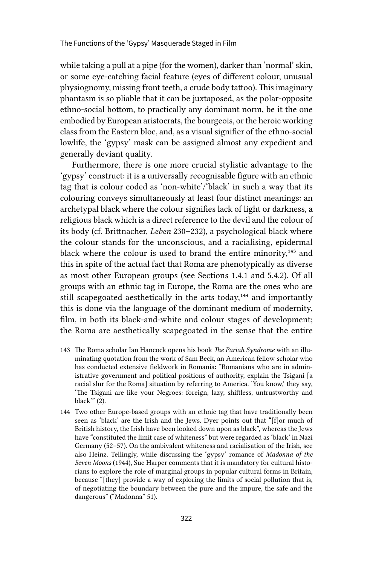while taking a pull at a pipe (for the women), darker than 'normal' skin, or some eye-catching facial feature (eyes of different colour, unusual physiognomy, missing front teeth, a crude body tattoo). This imaginary phantasm is so pliable that it can be juxtaposed, as the polar-opposite ethno-social bottom, to practically any dominant norm, be it the one embodied by European aristocrats, the bourgeois, or the heroic working class from the Eastern bloc, and, as a visual signifier of the ethno-social lowlife, the 'gypsy' mask can be assigned almost any expedient and generally deviant quality.

Furthermore, there is one more crucial stylistic advantage to the 'gypsy' construct: it is a universally recognisable figure with an ethnic tag that is colour coded as 'non-white'/'black' in such a way that its colouring conveys simultaneously at least four distinct meanings: an archetypal black where the colour signifies lack of light or darkness, a religious black which is a direct reference to the devil and the colour of its body (cf. Brittnacher, *Leben* 230–232), a psychological black where the colour stands for the unconscious, and a racialising, epidermal black where the colour is used to brand the entire minority, $143$  and this in spite of the actual fact that Roma are phenotypically as diverse as most other European groups (see Sections 1.4.1 and 5.4.2). Of all groups with an ethnic tag in Europe, the Roma are the ones who are still scapegoated aesthetically in the arts today,<sup>144</sup> and importantly this is done via the language of the dominant medium of modernity, film, in both its black-and-white and colour stages of development; the Roma are aesthetically scapegoated in the sense that the entire

- 143 The Roma scholar Ian Hancock opens his book *The Pariah Syndrome* with an illuminating quotation from the work of Sam Beck, an American fellow scholar who has conducted extensive fieldwork in Romania: "Romanians who are in administrative government and political positions of authority, explain the Tsigani [a racial slur for the Roma] situation by referring to America. 'You know,' they say, 'The Tsigani are like your Negroes: foreign, lazy, shiftless, untrustworthy and black'" (2).
- 144 Two other Europe-based groups with an ethnic tag that have traditionally been seen as 'black' are the Irish and the Jews. Dyer points out that "[f]or much of British history, the Irish have been looked down upon as black", whereas the Jews have "constituted the limit case of whiteness" but were regarded as 'black' in Nazi Germany (52–57). On the ambivalent whiteness and racialisation of the Irish, see also Heinz. Tellingly, while discussing the 'gypsy' romance of *Madonna of the Seven Moons* (1944), Sue Harper comments that it is mandatory for cultural historians to explore the role of marginal groups in popular cultural forms in Britain, because "[they] provide a way of exploring the limits of social pollution that is, of negotiating the boundary between the pure and the impure, the safe and the dangerous" ("Madonna" 51).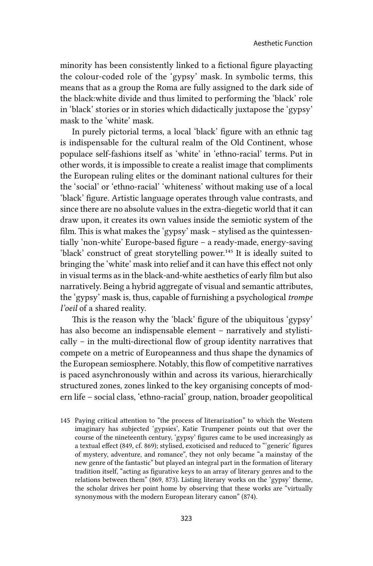minority has been consistently linked to a fictional figure playacting the colour-coded role of the 'gypsy' mask. In symbolic terms, this means that as a group the Roma are fully assigned to the dark side of the black:white divide and thus limited to performing the 'black' role in 'black' stories or in stories which didactically juxtapose the 'gypsy' mask to the 'white' mask.

In purely pictorial terms, a local 'black' figure with an ethnic tag is indispensable for the cultural realm of the Old Continent, whose populace self-fashions itself as 'white' in 'ethno-racial' terms. Put in other words, it is impossible to create a realist image that compliments the European ruling elites or the dominant national cultures for their the 'social' or 'ethno-racial' 'whiteness' without making use of a local 'black' figure. Artistic language operates through value contrasts, and since there are no absolute values in the extra-diegetic world that it can draw upon, it creates its own values inside the semiotic system of the film. This is what makes the 'gypsy' mask – stylised as the quintessentially 'non-white' Europe-based figure – a ready-made, energy-saving 'black' construct of great storytelling power.<sup>145</sup> It is ideally suited to bringing the 'white' mask into relief and it can have this effect not only in visual terms as in the black-and-white aesthetics of early film but also narratively. Being a hybrid aggregate of visual and semantic attributes, the 'gypsy' mask is, thus, capable of furnishing a psychological *trompe l'oeil* of a shared reality.

This is the reason why the 'black' figure of the ubiquitous 'gypsy' has also become an indispensable element – narratively and stylistically – in the multi-directional flow of group identity narratives that compete on a metric of Europeanness and thus shape the dynamics of the European semiosphere. Notably, this flow of competitive narratives is paced asynchronously within and across its various, hierarchically structured zones, zones linked to the key organising concepts of modern life – social class, 'ethno-racial' group, nation, broader geopolitical

145 Paying critical attention to "the process of literarization" to which the Western imaginary has subjected 'gypsies', Katie Trumpener points out that over the course of the nineteenth century, 'gypsy' figures came to be used increasingly as a textual effect (849, cf. 869); stylised, exoticised and reduced to "'generic' figures of mystery, adventure, and romance", they not only became "a mainstay of the new genre of the fantastic" but played an integral part in the formation of literary tradition itself, "acting as figurative keys to an array of literary genres and to the relations between them" (869, 873). Listing literary works on the 'gypsy' theme, the scholar drives her point home by observing that these works are "virtually synonymous with the modern European literary canon" (874).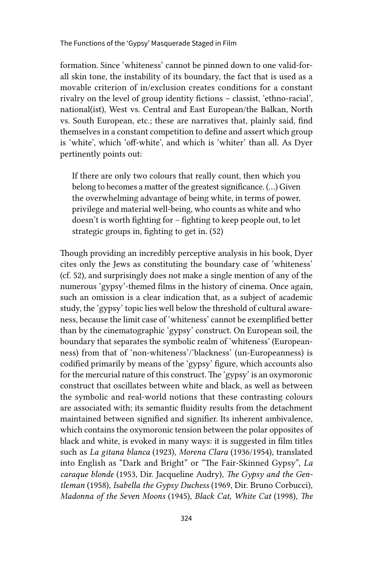formation. Since 'whiteness' cannot be pinned down to one valid-forall skin tone, the instability of its boundary, the fact that is used as a movable criterion of in/exclusion creates conditions for a constant rivalry on the level of group identity fictions – classist, 'ethno-racial', national(ist), West vs. Central and East European/the Balkan, North vs. South European, etc.; these are narratives that, plainly said, find themselves in a constant competition to define and assert which group is 'white', which 'off-white', and which is 'whiter' than all. As Dyer pertinently points out:

If there are only two colours that really count, then which you belong to becomes a matter of the greatest significance. (…) Given the overwhelming advantage of being white, in terms of power, privilege and material well-being, who counts as white and who doesn't is worth fighting for – fighting to keep people out, to let strategic groups in, fighting to get in. (52)

Though providing an incredibly perceptive analysis in his book, Dyer cites only the Jews as constituting the boundary case of 'whiteness' (cf. 52), and surprisingly does not make a single mention of any of the numerous 'gypsy'-themed films in the history of cinema. Once again, such an omission is a clear indication that, as a subject of academic study, the 'gypsy' topic lies well below the threshold of cultural awareness, because the limit case of 'whiteness' cannot be exemplified better than by the cinematographic 'gypsy' construct. On European soil, the boundary that separates the symbolic realm of 'whiteness' (Europeanness) from that of 'non-whiteness'/'blackness' (un-Europeanness) is codified primarily by means of the 'gypsy' figure, which accounts also for the mercurial nature of this construct. The 'gypsy' is an oxymoronic construct that oscillates between white and black, as well as between the symbolic and real-world notions that these contrasting colours are associated with; its semantic fluidity results from the detachment maintained between signified and signifier. Its inherent ambivalence, which contains the oxymoronic tension between the polar opposites of black and white, is evoked in many ways: it is suggested in film titles such as *La gitana blanca* (1923), *Morena Clara* (1936/1954), translated into English as "Dark and Bright" or "The Fair-Skinned Gypsy", *La caraque blonde* (1953, Dir. Jacqueline Audry), *The Gypsy and the Gentleman* (1958), *Isabella the Gypsy Duchess* (1969, Dir. Bruno Corbucci), *Madonna of the Seven Moons* (1945), *Black Cat, White Cat* (1998), *The*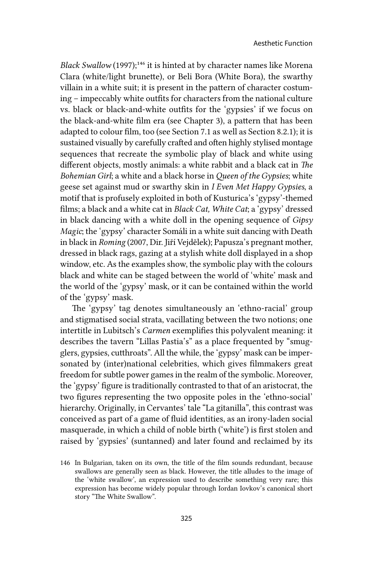*Black Swallow* (1997);<sup>146</sup> it is hinted at by character names like Morena Clara (white/light brunette), or Beli Bora (White Bora), the swarthy villain in a white suit; it is present in the pattern of character costuming – impeccably white outfits for characters from the national culture vs. black or black-and-white outfits for the 'gypsies' if we focus on the black-and-white film era (see Chapter 3), a pattern that has been adapted to colour film, too (see Section 7.1 as well as Section 8.2.1); it is sustained visually by carefully crafted and often highly stylised montage sequences that recreate the symbolic play of black and white using different objects, mostly animals: a white rabbit and a black cat in *The Bohemian Girl*; a white and a black horse in *Queen of the Gypsies*; white geese set against mud or swarthy skin in *I Even Met Happy Gypsies*, a motif that is profusely exploited in both of Kusturica's 'gypsy'-themed films; a black and a white cat in *Black Cat, White Cat*; a 'gypsy' dressed in black dancing with a white doll in the opening sequence of *Gipsy Magic*; the 'gypsy' character Somáli in a white suit dancing with Death in black in *Roming* (2007, Dir. Jiří Vejdělek); Papusza's pregnant mother, dressed in black rags, gazing at a stylish white doll displayed in a shop window, etc. As the examples show, the symbolic play with the colours black and white can be staged between the world of 'white' mask and the world of the 'gypsy' mask, or it can be contained within the world of the 'gypsy' mask.

The 'gypsy' tag denotes simultaneously an 'ethno-racial' group and stigmatised social strata, vacillating between the two notions; one intertitle in Lubitsch's *Carmen* exemplifies this polyvalent meaning: it describes the tavern "Lillas Pastia's" as a place frequented by "smugglers, gypsies, cutthroats". All the while, the 'gypsy' mask can be impersonated by (inter)national celebrities, which gives filmmakers great freedom for subtle power games in the realm of the symbolic. Moreover, the 'gypsy' figure is traditionally contrasted to that of an aristocrat, the two figures representing the two opposite poles in the 'ethno-social' hierarchy. Originally, in Cervantes' tale "La gitanilla", this contrast was conceived as part of a game of fluid identities, as an irony-laden social masquerade, in which a child of noble birth ('white') is first stolen and raised by 'gypsies' (suntanned) and later found and reclaimed by its

<sup>146</sup> In Bulgarian, taken on its own, the title of the film sounds redundant, because swallows are generally seen as black. However, the title alludes to the image of the 'white swallow', an expression used to describe something very rare; this expression has become widely popular through Iordan Iovkov's canonical short story "The White Swallow".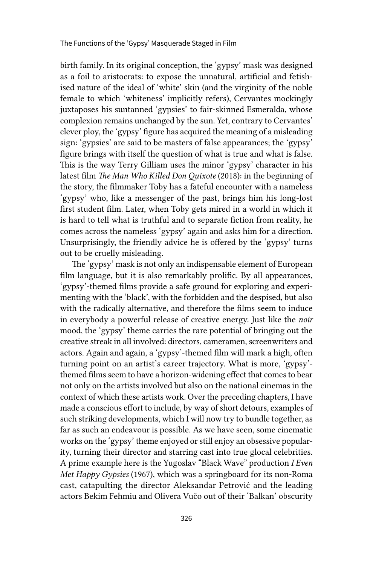birth family. In its original conception, the 'gypsy' mask was designed as a foil to aristocrats: to expose the unnatural, artificial and fetishised nature of the ideal of 'white' skin (and the virginity of the noble female to which 'whiteness' implicitly refers), Cervantes mockingly juxtaposes his suntanned 'gypsies' to fair-skinned Esmeralda, whose complexion remains unchanged by the sun. Yet, contrary to Cervantes' clever ploy, the 'gypsy' figure has acquired the meaning of a misleading sign: 'gypsies' are said to be masters of false appearances; the 'gypsy' figure brings with itself the question of what is true and what is false. This is the way Terry Gilliam uses the minor 'gypsy' character in his latest film *The Man Who Killed Don Quixote* (2018): in the beginning of the story, the filmmaker Toby has a fateful encounter with a nameless 'gypsy' who, like a messenger of the past, brings him his long-lost first student film. Later, when Toby gets mired in a world in which it is hard to tell what is truthful and to separate fiction from reality, he comes across the nameless 'gypsy' again and asks him for a direction. Unsurprisingly, the friendly advice he is offered by the 'gypsy' turns out to be cruelly misleading.

The 'gypsy' mask is not only an indispensable element of European film language, but it is also remarkably prolific. By all appearances, 'gypsy'-themed films provide a safe ground for exploring and experimenting with the 'black', with the forbidden and the despised, but also with the radically alternative, and therefore the films seem to induce in everybody a powerful release of creative energy. Just like the *noir* mood, the 'gypsy' theme carries the rare potential of bringing out the creative streak in all involved: directors, cameramen, screenwriters and actors. Again and again, a 'gypsy'-themed film will mark a high, often turning point on an artist's career trajectory. What is more, 'gypsy' themed films seem to have a horizon-widening effect that comes to bear not only on the artists involved but also on the national cinemas in the context of which these artists work. Over the preceding chapters, I have made a conscious effort to include, by way of short detours, examples of such striking developments, which I will now try to bundle together, as far as such an endeavour is possible. As we have seen, some cinematic works on the 'gypsy' theme enjoyed or still enjoy an obsessive popularity, turning their director and starring cast into true glocal celebrities. A prime example here is the Yugoslav "Black Wave" production *I Even Met Happy Gypsies* (1967), which was a springboard for its non-Roma cast, catapulting the director Aleksandar Petrović and the leading actors Bekim Fehmiu and Olivera Vučo out of their 'Balkan' obscurity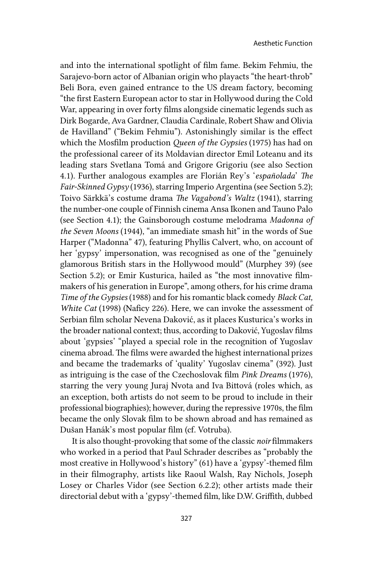and into the international spotlight of film fame. Bekim Fehmiu, the Sarajevo-born actor of Albanian origin who playacts "the heart-throb" Beli Bora, even gained entrance to the US dream factory, becoming "the first Eastern European actor to star in Hollywood during the Cold War, appearing in over forty films alongside cinematic legends such as Dirk Bogarde, Ava Gardner, Claudia Cardinale, Robert Shaw and Olivia de Havilland" ("Bekim Fehmiu"). Astonishingly similar is the effect which the Mosfilm production *Queen of the Gypsies* (1975) has had on the professional career of its Moldavian director Emil Loteanu and its leading stars Svetlana Tomá and Grigore Grigoriu (see also Section 4.1). Further analogous examples are Florián Rey's '*españolada*' *The Fair-Skinned Gypsy* (1936), starring Imperio Argentina (see Section 5.2); Toivo Särkkä's costume drama *The Vagabond's Waltz* (1941), starring the number-one couple of Finnish cinema Ansa Ikonen and Tauno Palo (see Section 4.1); the Gainsborough costume melodrama *Madonna of the Seven Moons* (1944), "an immediate smash hit" in the words of Sue Harper ("Madonna" 47), featuring Phyllis Calvert, who, on account of her 'gypsy' impersonation, was recognised as one of the "genuinely glamorous British stars in the Hollywood mould" (Murphey 39) (see Section 5.2); or Emir Kusturica, hailed as "the most innovative filmmakers of his generation in Europe", among others, for his crime drama *Time of the Gypsies* (1988) and for his romantic black comedy *Black Cat, White Cat* (1998) (Naficy 226). Here, we can invoke the assessment of Serbian film scholar Nevena Daković, as it places Kusturica's works in the broader national context; thus, according to Daković, Yugoslav films about 'gypsies' "played a special role in the recognition of Yugoslav cinema abroad. The films were awarded the highest international prizes and became the trademarks of 'quality' Yugoslav cinema" (392). Just as intriguing is the case of the Czechoslovak film *Pink Dreams* (1976), starring the very young Juraj Nvota and Iva Bittová (roles which, as an exception, both artists do not seem to be proud to include in their professional biographies); however, during the repressive 1970s, the film became the only Slovak film to be shown abroad and has remained as Dušan Hanák's most popular film (cf. Votruba).

It is also thought-provoking that some of the classic *noir* filmmakers who worked in a period that Paul Schrader describes as "probably the most creative in Hollywood's history" (61) have a 'gypsy'-themed film in their filmography, artists like Raoul Walsh, Ray Nichols, Joseph Losey or Charles Vidor (see Section 6.2.2); other artists made their directorial debut with a 'gypsy'-themed film, like D.W. Griffith, dubbed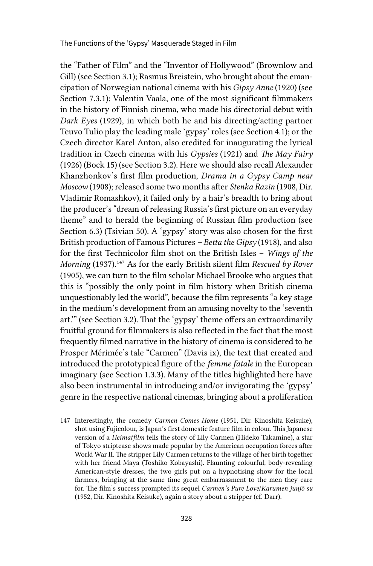the "Father of Film" and the "Inventor of Hollywood" (Brownlow and Gill) (see Section 3.1); Rasmus Breistein, who brought about the emancipation of Norwegian national cinema with his *Gipsy Anne* (1920) (see Section 7.3.1); Valentin Vaala, one of the most significant filmmakers in the history of Finnish cinema, who made his directorial debut with *Dark Eyes* (1929), in which both he and his directing/acting partner Teuvo Tulio play the leading male 'gypsy' roles (see Section 4.1); or the Czech director Karel Anton, also credited for inaugurating the lyrical tradition in Czech cinema with his *Gypsies* (1921) and *The May Fairy* (1926) (Bock 15) (see Section 3.2). Here we should also recall Alexander Khanzhonkov's first film production, *Drama in a Gypsy Camp near Moscow* (1908); released some two months after *Stenka Razin* (1908, Dir. Vladimir Romashkov), it failed only by a hair's breadth to bring about the producer's "dream of releasing Russia's first picture on an everyday theme" and to herald the beginning of Russian film production (see Section 6.3) (Tsivian 50). A 'gypsy' story was also chosen for the first British production of Famous Pictures *– Betta the Gipsy* (1918), and also for the first Technicolor film shot on the British Isles – *Wings of the Morning* (1937).147 As for the early British silent film *Rescued by Rover* (1905), we can turn to the film scholar Michael Brooke who argues that this is "possibly the only point in film history when British cinema unquestionably led the world", because the film represents "a key stage in the medium's development from an amusing novelty to the 'seventh art.'" (see Section 3.2). That the 'gypsy' theme offers an extraordinarily fruitful ground for filmmakers is also reflected in the fact that the most frequently filmed narrative in the history of cinema is considered to be Prosper Mérimée's tale "Carmen" (Davis ix), the text that created and introduced the prototypical figure of the *femme fatale* in the European imaginary (see Section 1.3.3). Many of the titles highlighted here have also been instrumental in introducing and/or invigorating the 'gypsy' genre in the respective national cinemas, bringing about a proliferation

147 Interestingly, the comedy *Carmen Comes Home* (1951, Dir. Kinoshita Keisuke), shot using Fujicolour, is Japan's first domestic feature film in colour. This Japanese version of a *Heimatfilm* tells the story of Lily Carmen (Hideko Takamine), a star of Tokyo striptease shows made popular by the American occupation forces after World War II. The stripper Lily Carmen returns to the village of her birth together with her friend Maya (Toshiko Kobayashi). Flaunting colourful, body-revealing American-style dresses, the two girls put on a hypnotising show for the local farmers, bringing at the same time great embarrassment to the men they care for. The film's success prompted its sequel *Carmen's Pure Love*/*Karumen junjō su* (1952, Dir. Kinoshita Keisuke), again a story about a stripper (cf. Darr).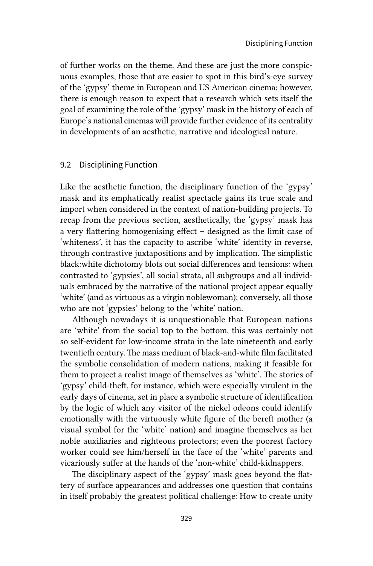of further works on the theme. And these are just the more conspicuous examples, those that are easier to spot in this bird's-eye survey of the 'gypsy' theme in European and US American cinema; however, there is enough reason to expect that a research which sets itself the goal of examining the role of the 'gypsy' mask in the history of each of Europe's national cinemas will provide further evidence of its centrality in developments of an aesthetic, narrative and ideological nature.

#### 9.2 Disciplining Function

Like the aesthetic function, the disciplinary function of the 'gypsy' mask and its emphatically realist spectacle gains its true scale and import when considered in the context of nation-building projects. To recap from the previous section, aesthetically, the 'gypsy' mask has a very flattering homogenising effect – designed as the limit case of 'whiteness', it has the capacity to ascribe 'white' identity in reverse, through contrastive juxtapositions and by implication. The simplistic black:white dichotomy blots out social differences and tensions: when contrasted to 'gypsies', all social strata, all subgroups and all individuals embraced by the narrative of the national project appear equally 'white' (and as virtuous as a virgin noblewoman); conversely, all those who are not 'gypsies' belong to the 'white' nation.

Although nowadays it is unquestionable that European nations are 'white' from the social top to the bottom, this was certainly not so self-evident for low-income strata in the late nineteenth and early twentieth century. The mass medium of black-and-white film facilitated the symbolic consolidation of modern nations, making it feasible for them to project a realist image of themselves as 'white'. The stories of 'gypsy' child-theft, for instance, which were especially virulent in the early days of cinema, set in place a symbolic structure of identification by the logic of which any visitor of the nickel odeons could identify emotionally with the virtuously white figure of the bereft mother (a visual symbol for the 'white' nation) and imagine themselves as her noble auxiliaries and righteous protectors; even the poorest factory worker could see him/herself in the face of the 'white' parents and vicariously suffer at the hands of the 'non-white' child-kidnappers.

The disciplinary aspect of the 'gypsy' mask goes beyond the flattery of surface appearances and addresses one question that contains in itself probably the greatest political challenge: How to create unity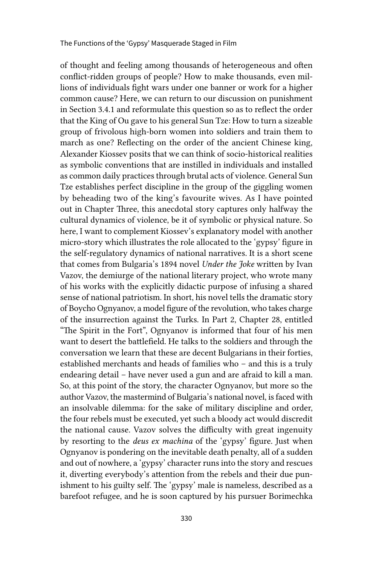of thought and feeling among thousands of heterogeneous and often conflict-ridden groups of people? How to make thousands, even millions of individuals fight wars under one banner or work for a higher common cause? Here, we can return to our discussion on punishment in Section 3.4.1 and reformulate this question so as to reflect the order that the King of Ou gave to his general Sun Tze: How to turn a sizeable group of frivolous high-born women into soldiers and train them to march as one? Reflecting on the order of the ancient Chinese king, Alexander Kiossev posits that we can think of socio-historical realities as symbolic conventions that are instilled in individuals and installed as common daily practices through brutal acts of violence. General Sun Tze establishes perfect discipline in the group of the giggling women by beheading two of the king's favourite wives. As I have pointed out in Chapter Three, this anecdotal story captures only halfway the cultural dynamics of violence, be it of symbolic or physical nature. So here, I want to complement Kiossev's explanatory model with another micro-story which illustrates the role allocated to the 'gypsy' figure in the self-regulatory dynamics of national narratives. It is a short scene that comes from Bulgaria's 1894 novel *Under the Joke* written by Ivan Vazov, the demiurge of the national literary project, who wrote many of his works with the explicitly didactic purpose of infusing a shared sense of national patriotism. In short, his novel tells the dramatic story of Boycho Ognyanov, a model figure of the revolution, who takes charge of the insurrection against the Turks. In Part 2, Chapter 28, entitled "The Spirit in the Fort", Ognyanov is informed that four of his men want to desert the battlefield. He talks to the soldiers and through the conversation we learn that these are decent Bulgarians in their forties, established merchants and heads of families who – and this is a truly endearing detail – have never used a gun and are afraid to kill a man. So, at this point of the story, the character Ognyanov, but more so the author Vazov, the mastermind of Bulgaria's national novel, is faced with an insolvable dilemma: for the sake of military discipline and order, the four rebels must be executed, yet such a bloody act would discredit the national cause. Vazov solves the difficulty with great ingenuity by resorting to the *deus ex machina* of the 'gypsy' figure. Just when Ognyanov is pondering on the inevitable death penalty, all of a sudden and out of nowhere, a 'gypsy' character runs into the story and rescues it, diverting everybody's attention from the rebels and their due punishment to his guilty self. The 'gypsy' male is nameless, described as a barefoot refugee, and he is soon captured by his pursuer Borimechka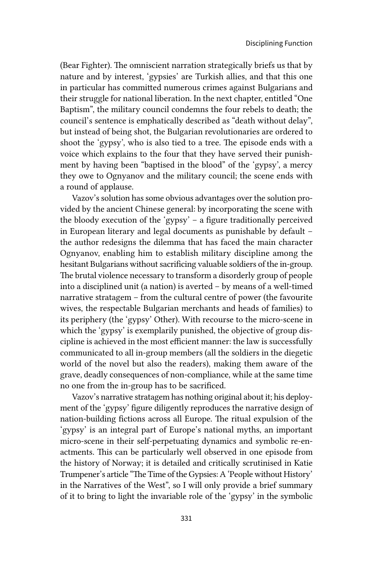(Bear Fighter). The omniscient narration strategically briefs us that by nature and by interest, 'gypsies' are Turkish allies, and that this one in particular has committed numerous crimes against Bulgarians and their struggle for national liberation. In the next chapter, entitled "One Baptism", the military council condemns the four rebels to death; the council's sentence is emphatically described as "death without delay", but instead of being shot, the Bulgarian revolutionaries are ordered to shoot the 'gypsy', who is also tied to a tree. The episode ends with a voice which explains to the four that they have served their punishment by having been "baptised in the blood" of the 'gypsy', a mercy they owe to Ognyanov and the military council; the scene ends with a round of applause.

Vazov's solution has some obvious advantages over the solution provided by the ancient Chinese general: by incorporating the scene with the bloody execution of the 'gypsy' – a figure traditionally perceived in European literary and legal documents as punishable by default – the author redesigns the dilemma that has faced the main character Ognyanov, enabling him to establish military discipline among the hesitant Bulgarians without sacrificing valuable soldiers of the in-group. The brutal violence necessary to transform a disorderly group of people into a disciplined unit (a nation) is averted – by means of a well-timed narrative stratagem – from the cultural centre of power (the favourite wives, the respectable Bulgarian merchants and heads of families) to its periphery (the 'gypsy' Other). With recourse to the micro-scene in which the 'gypsy' is exemplarily punished, the objective of group discipline is achieved in the most efficient manner: the law is successfully communicated to all in-group members (all the soldiers in the diegetic world of the novel but also the readers), making them aware of the grave, deadly consequences of non-compliance, while at the same time no one from the in-group has to be sacrificed.

Vazov's narrative stratagem has nothing original about it; his deployment of the 'gypsy' figure diligently reproduces the narrative design of nation-building fictions across all Europe. The ritual expulsion of the 'gypsy' is an integral part of Europe's national myths, an important micro-scene in their self-perpetuating dynamics and symbolic re-enactments. This can be particularly well observed in one episode from the history of Norway; it is detailed and critically scrutinised in Katie Trumpener's article "The Time of the Gypsies: A 'People without History' in the Narratives of the West", so I will only provide a brief summary of it to bring to light the invariable role of the 'gypsy' in the symbolic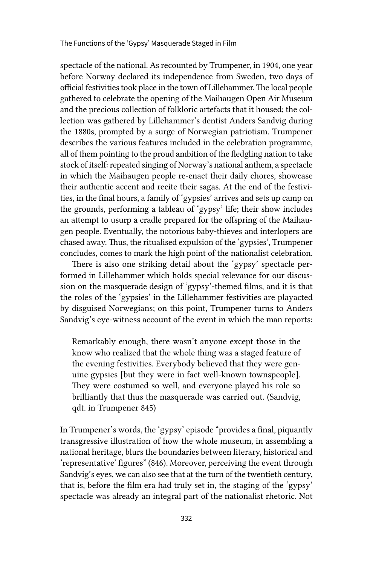spectacle of the national. As recounted by Trumpener, in 1904, one year before Norway declared its independence from Sweden, two days of official festivities took place in the town of Lillehammer. The local people gathered to celebrate the opening of the Maihaugen Open Air Museum and the precious collection of folkloric artefacts that it housed; the collection was gathered by Lillehammer's dentist Anders Sandvig during the 1880s, prompted by a surge of Norwegian patriotism. Trumpener describes the various features included in the celebration programme, all of them pointing to the proud ambition of the fledgling nation to take stock of itself: repeated singing of Norway's national anthem, a spectacle in which the Maihaugen people re-enact their daily chores, showcase their authentic accent and recite their sagas. At the end of the festivities, in the final hours, a family of 'gypsies' arrives and sets up camp on the grounds, performing a tableau of 'gypsy' life; their show includes an attempt to usurp a cradle prepared for the offspring of the Maihaugen people. Eventually, the notorious baby-thieves and interlopers are chased away. Thus, the ritualised expulsion of the 'gypsies', Trumpener concludes, comes to mark the high point of the nationalist celebration.

There is also one striking detail about the 'gypsy' spectacle performed in Lillehammer which holds special relevance for our discussion on the masquerade design of 'gypsy'-themed films, and it is that the roles of the 'gypsies' in the Lillehammer festivities are playacted by disguised Norwegians; on this point, Trumpener turns to Anders Sandvig's eye-witness account of the event in which the man reports:

Remarkably enough, there wasn't anyone except those in the know who realized that the whole thing was a staged feature of the evening festivities. Everybody believed that they were genuine gypsies [but they were in fact well-known townspeople]. They were costumed so well, and everyone played his role so brilliantly that thus the masquerade was carried out. (Sandvig, qdt. in Trumpener 845)

In Trumpener's words, the 'gypsy' episode "provides a final, piquantly transgressive illustration of how the whole museum, in assembling a national heritage, blurs the boundaries between literary, historical and 'representative' figures" (846). Moreover, perceiving the event through Sandvig's eyes, we can also see that at the turn of the twentieth century, that is, before the film era had truly set in, the staging of the 'gypsy' spectacle was already an integral part of the nationalist rhetoric. Not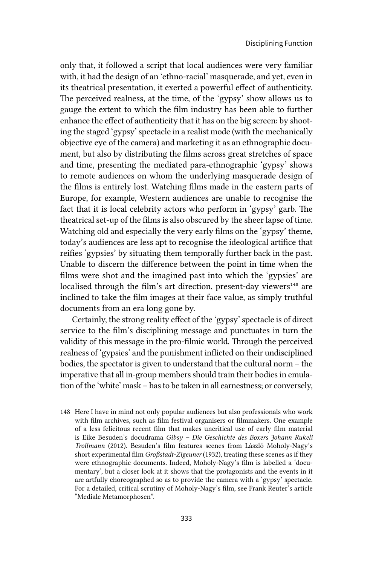only that, it followed a script that local audiences were very familiar with, it had the design of an 'ethno-racial' masquerade, and yet, even in its theatrical presentation, it exerted a powerful effect of authenticity. The perceived realness, at the time, of the 'gypsy' show allows us to gauge the extent to which the film industry has been able to further enhance the effect of authenticity that it has on the big screen: by shooting the staged 'gypsy' spectacle in a realist mode (with the mechanically objective eye of the camera) and marketing it as an ethnographic document, but also by distributing the films across great stretches of space and time, presenting the mediated para-ethnographic 'gypsy' shows to remote audiences on whom the underlying masquerade design of the films is entirely lost. Watching films made in the eastern parts of Europe, for example, Western audiences are unable to recognise the fact that it is local celebrity actors who perform in 'gypsy' garb. The theatrical set-up of the films is also obscured by the sheer lapse of time. Watching old and especially the very early films on the 'gypsy' theme, today's audiences are less apt to recognise the ideological artifice that reifies 'gypsies' by situating them temporally further back in the past. Unable to discern the difference between the point in time when the films were shot and the imagined past into which the 'gypsies' are localised through the film's art direction, present-day viewers<sup>148</sup> are inclined to take the film images at their face value, as simply truthful documents from an era long gone by.

Certainly, the strong reality effect of the 'gypsy' spectacle is of direct service to the film's disciplining message and punctuates in turn the validity of this message in the pro-filmic world. Through the perceived realness of 'gypsies' and the punishment inflicted on their undisciplined bodies, the spectator is given to understand that the cultural norm – the imperative that all in-group members should train their bodies in emulation of the 'white' mask – has to be taken in all earnestness; or conversely,

148 Here I have in mind not only popular audiences but also professionals who work with film archives, such as film festival organisers or filmmakers. One example of a less felicitous recent film that makes uncritical use of early film material is Eike Besuden's docudrama *Gibsy – Die Geschichte des Boxers Johann Rukeli Trollmann* (2012). Besuden's film features scenes from László Moholy-Nagy's short experimental film *Großstadt-Zigeuner* (1932), treating these scenes as if they were ethnographic documents. Indeed, Moholy-Nagy's film is labelled a 'documentary', but a closer look at it shows that the protagonists and the events in it are artfully choreographed so as to provide the camera with a 'gypsy' spectacle. For a detailed, critical scrutiny of Moholy-Nagy's film, see Frank Reuter's article "Mediale Metamorphosen".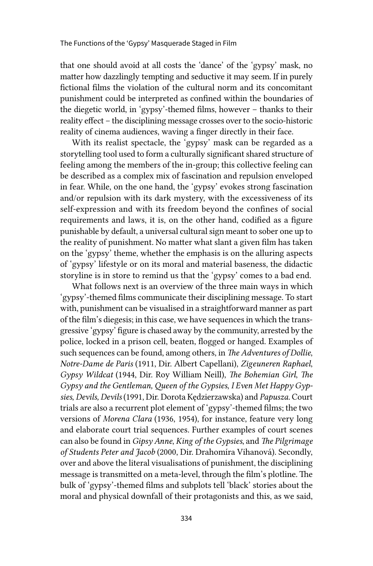that one should avoid at all costs the 'dance' of the 'gypsy' mask, no matter how dazzlingly tempting and seductive it may seem. If in purely fictional films the violation of the cultural norm and its concomitant punishment could be interpreted as confined within the boundaries of the diegetic world, in 'gypsy'-themed films, however – thanks to their reality effect – the disciplining message crosses over to the socio-historic reality of cinema audiences, waving a finger directly in their face.

With its realist spectacle, the 'gypsy' mask can be regarded as a storytelling tool used to form a culturally significant shared structure of feeling among the members of the in-group; this collective feeling can be described as a complex mix of fascination and repulsion enveloped in fear. While, on the one hand, the 'gypsy' evokes strong fascination and/or repulsion with its dark mystery, with the excessiveness of its self-expression and with its freedom beyond the confines of social requirements and laws, it is, on the other hand, codified as a figure punishable by default, a universal cultural sign meant to sober one up to the reality of punishment. No matter what slant a given film has taken on the 'gypsy' theme, whether the emphasis is on the alluring aspects of 'gypsy' lifestyle or on its moral and material baseness, the didactic storyline is in store to remind us that the 'gypsy' comes to a bad end.

What follows next is an overview of the three main ways in which 'gypsy'-themed films communicate their disciplining message. To start with, punishment can be visualised in a straightforward manner as part of the film's diegesis; in this case, we have sequences in which the transgressive 'gypsy' figure is chased away by the community, arrested by the police, locked in a prison cell, beaten, flogged or hanged. Examples of such sequences can be found, among others, in *The Adventures of Dollie*, *Notre-Dame de Paris* (1911, Dir. Albert Capellani), *Zigeuneren Raphael*, *Gypsy Wildcat* (1944, Dir. Roy William Neill), *The Bohemian Girl*, *The Gypsy and the Gentleman, Queen of the Gypsies*, *I Even Met Happy Gypsies*, *Devils, Devils* (1991, Dir. Dorota Kędzierzawska) and *Papusza.* Court trials are also a recurrent plot element of 'gypsy'-themed films; the two versions of *Morena Clara* (1936, 1954), for instance, feature very long and elaborate court trial sequences. Further examples of court scenes can also be found in *Gipsy Anne*, *King of the Gypsies*, and *The Pilgrimage of Students Peter and Jacob* (2000, Dir. Drahomíra Vihanová). Secondly, over and above the literal visualisations of punishment, the disciplining message is transmitted on a meta-level, through the film's plotline. The bulk of 'gypsy'-themed films and subplots tell 'black' stories about the moral and physical downfall of their protagonists and this, as we said,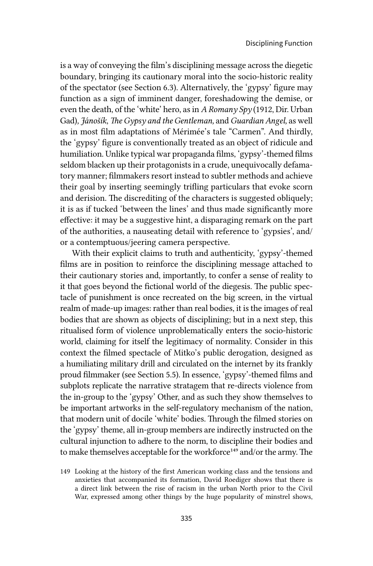is a way of conveying the film's disciplining message across the diegetic boundary, bringing its cautionary moral into the socio-historic reality of the spectator (see Section 6.3). Alternatively, the 'gypsy' figure may function as a sign of imminent danger, foreshadowing the demise, or even the death, of the 'white' hero, as in *A Romany Spy* (1912, Dir. Urban Gad)*, Jánošík*, *The Gypsy and the Gentleman,* and *Guardian Angel,* as well as in most film adaptations of Mérimée's tale "Carmen". And thirdly, the 'gypsy' figure is conventionally treated as an object of ridicule and humiliation. Unlike typical war propaganda films, 'gypsy'-themed films seldom blacken up their protagonists in a crude, unequivocally defamatory manner; filmmakers resort instead to subtler methods and achieve their goal by inserting seemingly trifling particulars that evoke scorn and derision. The discrediting of the characters is suggested obliquely; it is as if tucked 'between the lines' and thus made significantly more effective: it may be a suggestive hint, a disparaging remark on the part of the authorities, a nauseating detail with reference to 'gypsies', and/ or a contemptuous/jeering camera perspective.

With their explicit claims to truth and authenticity, 'gypsy'-themed films are in position to reinforce the disciplining message attached to their cautionary stories and, importantly, to confer a sense of reality to it that goes beyond the fictional world of the diegesis. The public spectacle of punishment is once recreated on the big screen, in the virtual realm of made-up images: rather than real bodies, it is the images of real bodies that are shown as objects of disciplining; but in a next step, this ritualised form of violence unproblematically enters the socio-historic world, claiming for itself the legitimacy of normality. Consider in this context the filmed spectacle of Mitko's public derogation, designed as a humiliating military drill and circulated on the internet by its frankly proud filmmaker (see Section 5.5). In essence, 'gypsy'-themed films and subplots replicate the narrative stratagem that re-directs violence from the in-group to the 'gypsy' Other, and as such they show themselves to be important artworks in the self-regulatory mechanism of the nation, that modern unit of docile 'white' bodies. Through the filmed stories on the 'gypsy' theme, all in-group members are indirectly instructed on the cultural injunction to adhere to the norm, to discipline their bodies and to make themselves acceptable for the workforce<sup>149</sup> and/or the army. The

<sup>149</sup> Looking at the history of the first American working class and the tensions and anxieties that accompanied its formation, David Roediger shows that there is a direct link between the rise of racism in the urban North prior to the Civil War, expressed among other things by the huge popularity of minstrel shows,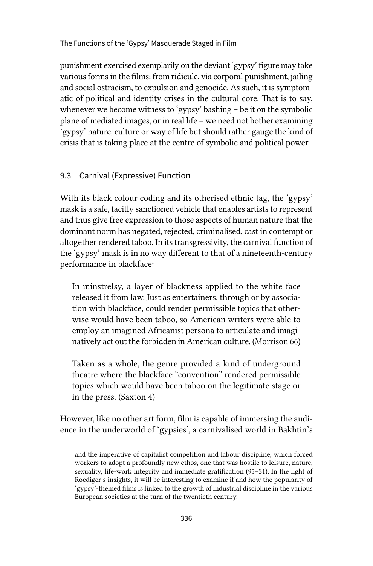The Functions of the 'Gypsy' Masquerade Staged in Film

punishment exercised exemplarily on the deviant 'gypsy' figure may take various forms in the films: from ridicule, via corporal punishment, jailing and social ostracism, to expulsion and genocide. As such, it is symptomatic of political and identity crises in the cultural core. That is to say, whenever we become witness to 'gypsy' bashing – be it on the symbolic plane of mediated images, or in real life – we need not bother examining 'gypsy' nature, culture or way of life but should rather gauge the kind of crisis that is taking place at the centre of symbolic and political power.

#### 9.3 Carnival (Expressive) Function

With its black colour coding and its otherised ethnic tag, the 'gypsy' mask is a safe, tacitly sanctioned vehicle that enables artists to represent and thus give free expression to those aspects of human nature that the dominant norm has negated, rejected, criminalised, cast in contempt or altogether rendered taboo. In its transgressivity, the carnival function of the 'gypsy' mask is in no way different to that of a nineteenth-century performance in blackface:

In minstrelsy, a layer of blackness applied to the white face released it from law. Just as entertainers, through or by association with blackface, could render permissible topics that otherwise would have been taboo, so American writers were able to employ an imagined Africanist persona to articulate and imaginatively act out the forbidden in American culture. (Morrison 66)

Taken as a whole, the genre provided a kind of underground theatre where the blackface "convention" rendered permissible topics which would have been taboo on the legitimate stage or in the press. (Saxton 4)

However, like no other art form, film is capable of immersing the audience in the underworld of 'gypsies', a carnivalised world in Bakhtin's

and the imperative of capitalist competition and labour discipline, which forced workers to adopt a profoundly new ethos, one that was hostile to leisure, nature, sexuality, life-work integrity and immediate gratification (95–31). In the light of Roediger's insights, it will be interesting to examine if and how the popularity of 'gypsy'-themed films is linked to the growth of industrial discipline in the various European societies at the turn of the twentieth century.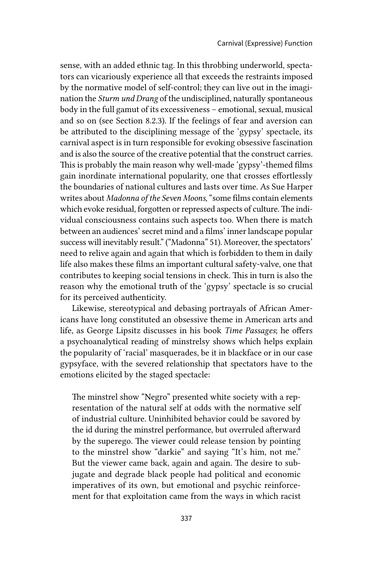sense, with an added ethnic tag. In this throbbing underworld, spectators can vicariously experience all that exceeds the restraints imposed by the normative model of self-control; they can live out in the imagination the *Sturm und Drang* of the undisciplined, naturally spontaneous body in the full gamut of its excessiveness – emotional, sexual, musical and so on (see Section 8.2.3). If the feelings of fear and aversion can be attributed to the disciplining message of the 'gypsy' spectacle, its carnival aspect is in turn responsible for evoking obsessive fascination and is also the source of the creative potential that the construct carries. This is probably the main reason why well-made 'gypsy'-themed films gain inordinate international popularity, one that crosses effortlessly the boundaries of national cultures and lasts over time. As Sue Harper writes about *Madonna of the Seven Moons*, "some films contain elements which evoke residual, forgotten or repressed aspects of culture. The individual consciousness contains such aspects too. When there is match between an audiences' secret mind and a films' inner landscape popular success will inevitably result." ("Madonna" 51). Moreover, the spectators' need to relive again and again that which is forbidden to them in daily life also makes these films an important cultural safety-valve, one that contributes to keeping social tensions in check. This in turn is also the reason why the emotional truth of the 'gypsy' spectacle is so crucial for its perceived authenticity.

Likewise, stereotypical and debasing portrayals of African Americans have long constituted an obsessive theme in American arts and life, as George Lipsitz discusses in his book *Time Passages*; he offers a psychoanalytical reading of minstrelsy shows which helps explain the popularity of 'racial' masquerades, be it in blackface or in our case gypsyface, with the severed relationship that spectators have to the emotions elicited by the staged spectacle:

The minstrel show "Negro" presented white society with a representation of the natural self at odds with the normative self of industrial culture. Uninhibited behavior could be savored by the id during the minstrel performance, but overruled afterward by the superego. The viewer could release tension by pointing to the minstrel show "darkie" and saying "It's him, not me." But the viewer came back, again and again. The desire to subjugate and degrade black people had political and economic imperatives of its own, but emotional and psychic reinforcement for that exploitation came from the ways in which racist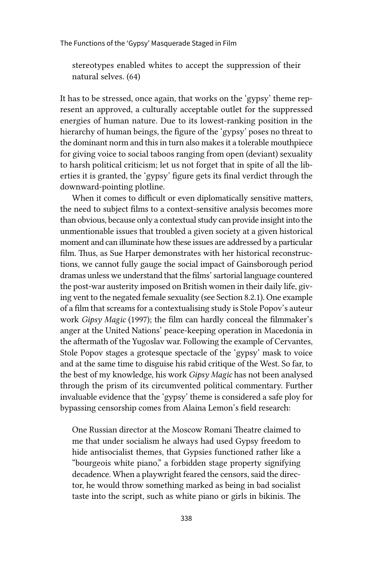The Functions of the 'Gypsy' Masquerade Staged in Film

stereotypes enabled whites to accept the suppression of their natural selves. (64)

It has to be stressed, once again, that works on the 'gypsy' theme represent an approved, a culturally acceptable outlet for the suppressed energies of human nature. Due to its lowest-ranking position in the hierarchy of human beings, the figure of the 'gypsy' poses no threat to the dominant norm and this in turn also makes it a tolerable mouthpiece for giving voice to social taboos ranging from open (deviant) sexuality to harsh political criticism; let us not forget that in spite of all the liberties it is granted, the 'gypsy' figure gets its final verdict through the downward-pointing plotline.

When it comes to difficult or even diplomatically sensitive matters, the need to subject films to a context-sensitive analysis becomes more than obvious, because only a contextual study can provide insight into the unmentionable issues that troubled a given society at a given historical moment and can illuminate how these issues are addressed by a particular film. Thus, as Sue Harper demonstrates with her historical reconstructions, we cannot fully gauge the social impact of Gainsborough period dramas unless we understand that the films' sartorial language countered the post-war austerity imposed on British women in their daily life, giving vent to the negated female sexuality (see Section 8.2.1). One example of a film that screams for a contextualising study is Stole Popov's auteur work *Gipsy Magic* (1997); the film can hardly conceal the filmmaker's anger at the United Nations' peace-keeping operation in Macedonia in the aftermath of the Yugoslav war. Following the example of Cervantes, Stole Popov stages a grotesque spectacle of the 'gypsy' mask to voice and at the same time to disguise his rabid critique of the West. So far, to the best of my knowledge, his work *Gipsy Magic* has not been analysed through the prism of its circumvented political commentary. Further invaluable evidence that the 'gypsy' theme is considered a safe ploy for bypassing censorship comes from Alaina Lemon's field research:

One Russian director at the Moscow Romani Theatre claimed to me that under socialism he always had used Gypsy freedom to hide antisocialist themes, that Gypsies functioned rather like a "bourgeois white piano," a forbidden stage property signifying decadence. When a playwright feared the censors, said the director, he would throw something marked as being in bad socialist taste into the script, such as white piano or girls in bikinis. The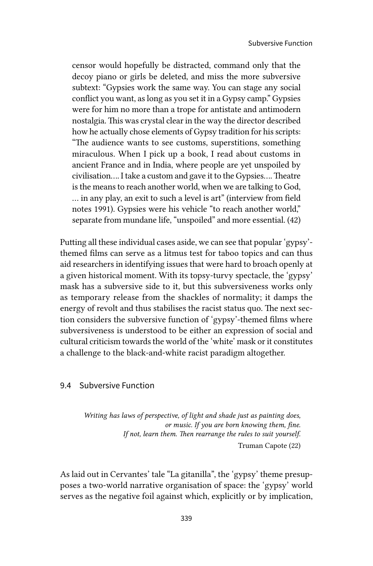censor would hopefully be distracted, command only that the decoy piano or girls be deleted, and miss the more subversive subtext: "Gypsies work the same way. You can stage any social conflict you want, as long as you set it in a Gypsy camp." Gypsies were for him no more than a trope for antistate and antimodern nostalgia. This was crystal clear in the way the director described how he actually chose elements of Gypsy tradition for his scripts: "The audience wants to see customs, superstitions, something miraculous. When I pick up a book, I read about customs in ancient France and in India, where people are yet unspoiled by civilisation…. I take a custom and gave it to the Gypsies…. Theatre is the means to reach another world, when we are talking to God, … in any play, an exit to such a level is art" (interview from field notes 1991). Gypsies were his vehicle "to reach another world," separate from mundane life, "unspoiled" and more essential. (42)

Putting all these individual cases aside, we can see that popular 'gypsy' themed films can serve as a litmus test for taboo topics and can thus aid researchers in identifying issues that were hard to broach openly at a given historical moment. With its topsy-turvy spectacle, the 'gypsy' mask has a subversive side to it, but this subversiveness works only as temporary release from the shackles of normality; it damps the energy of revolt and thus stabilises the racist status quo. The next section considers the subversive function of 'gypsy'-themed films where subversiveness is understood to be either an expression of social and cultural criticism towards the world of the 'white' mask or it constitutes a challenge to the black-and-white racist paradigm altogether.

#### 9.4 Subversive Function

*Writing has laws of perspective, of light and shade just as painting does, or music. If you are born knowing them, fine. If not, learn them. Then rearrange the rules to suit yourself.*

Truman Capote (22)

As laid out in Cervantes' tale "La gitanilla", the 'gypsy' theme presupposes a two-world narrative organisation of space: the 'gypsy' world serves as the negative foil against which, explicitly or by implication,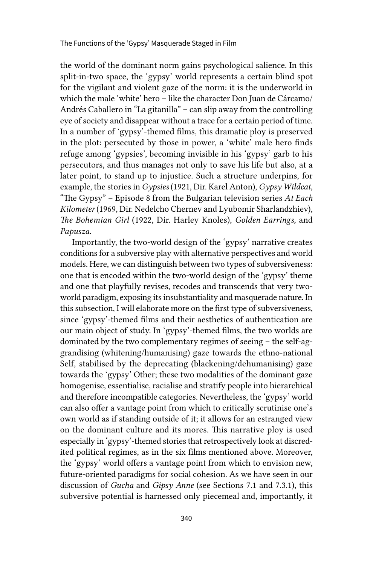the world of the dominant norm gains psychological salience. In this split-in-two space, the 'gypsy' world represents a certain blind spot for the vigilant and violent gaze of the norm: it is the underworld in which the male 'white' hero – like the character Don Juan de Cárcamo/ Andrés Caballero in "La gitanilla" – can slip away from the controlling eye of society and disappear without a trace for a certain period of time. In a number of 'gypsy'-themed films, this dramatic ploy is preserved in the plot: persecuted by those in power, a 'white' male hero finds refuge among 'gypsies', becoming invisible in his 'gypsy' garb to his persecutors, and thus manages not only to save his life but also, at a later point, to stand up to injustice. Such a structure underpins, for example, the stories in *Gypsies* (1921, Dir. Karel Anton), *Gypsy Wildcat*, "The Gypsy" – Episode 8 from the Bulgarian television series *At Each Kilometer* (1969, Dir. Nedelcho Chernev and Lyubomir Sharlandzhiev), *The Bohemian Girl* (1922, Dir. Harley Knoles), *Golden Earrings,* and *Papusza*.

Importantly, the two-world design of the 'gypsy' narrative creates conditions for a subversive play with alternative perspectives and world models. Here, we can distinguish between two types of subversiveness: one that is encoded within the two-world design of the 'gypsy' theme and one that playfully revises, recodes and transcends that very twoworld paradigm, exposing its insubstantiality and masquerade nature. In this subsection, I will elaborate more on the first type of subversiveness, since 'gypsy'-themed films and their aesthetics of authentication are our main object of study. In 'gypsy'-themed films, the two worlds are dominated by the two complementary regimes of seeing – the self-aggrandising (whitening/humanising) gaze towards the ethno-national Self, stabilised by the deprecating (blackening/dehumanising) gaze towards the 'gypsy' Other; these two modalities of the dominant gaze homogenise, essentialise, racialise and stratify people into hierarchical and therefore incompatible categories. Nevertheless, the 'gypsy' world can also offer a vantage point from which to critically scrutinise one's own world as if standing outside of it; it allows for an estranged view on the dominant culture and its mores. This narrative ploy is used especially in 'gypsy'-themed stories that retrospectively look at discredited political regimes, as in the six films mentioned above. Moreover, the 'gypsy' world offers a vantage point from which to envision new, future-oriented paradigms for social cohesion. As we have seen in our discussion of *Gucha* and *Gipsy Anne* (see Sections 7.1 and 7.3.1), this subversive potential is harnessed only piecemeal and, importantly, it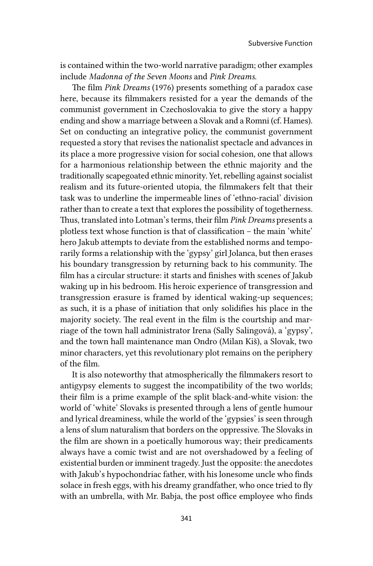is contained within the two-world narrative paradigm; other examples include *Madonna of the Seven Moons* and *Pink Dreams.* 

The film *Pink Dreams* (1976) presents something of a paradox case here, because its filmmakers resisted for a year the demands of the communist government in Czechoslovakia to give the story a happy ending and show a marriage between a Slovak and a Romni (cf. Hames). Set on conducting an integrative policy, the communist government requested a story that revises the nationalist spectacle and advances in its place a more progressive vision for social cohesion, one that allows for a harmonious relationship between the ethnic majority and the traditionally scapegoated ethnic minority. Yet, rebelling against socialist realism and its future-oriented utopia, the filmmakers felt that their task was to underline the impermeable lines of 'ethno-racial' division rather than to create a text that explores the possibility of togetherness. Thus, translated into Lotman's terms, their film *Pink Dreams* presents a plotless text whose function is that of classification – the main 'white' hero Jakub attempts to deviate from the established norms and temporarily forms a relationship with the 'gypsy' girl Jolanca, but then erases his boundary transgression by returning back to his community. The film has a circular structure: it starts and finishes with scenes of Jakub waking up in his bedroom. His heroic experience of transgression and transgression erasure is framed by identical waking-up sequences; as such, it is a phase of initiation that only solidifies his place in the majority society. The real event in the film is the courtship and marriage of the town hall administrator Irena (Sally Salingová), a 'gypsy', and the town hall maintenance man Ondro (Milan Kiš), a Slovak, two minor characters, yet this revolutionary plot remains on the periphery of the film.

It is also noteworthy that atmospherically the filmmakers resort to antigypsy elements to suggest the incompatibility of the two worlds; their film is a prime example of the split black-and-white vision: the world of 'white' Slovaks is presented through a lens of gentle humour and lyrical dreaminess, while the world of the 'gypsies' is seen through a lens of slum naturalism that borders on the oppressive. The Slovaks in the film are shown in a poetically humorous way; their predicaments always have a comic twist and are not overshadowed by a feeling of existential burden or imminent tragedy. Just the opposite: the anecdotes with Jakub's hypochondriac father, with his lonesome uncle who finds solace in fresh eggs, with his dreamy grandfather, who once tried to fly with an umbrella, with Mr. Babja, the post office employee who finds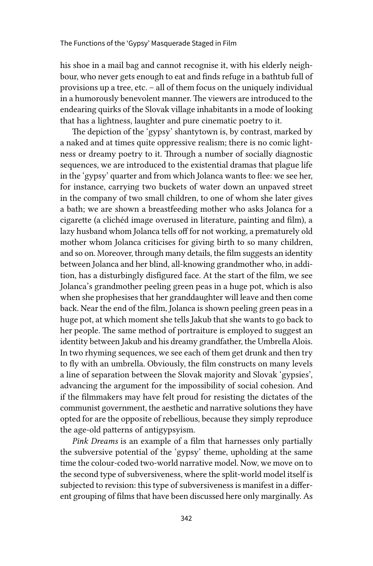his shoe in a mail bag and cannot recognise it, with his elderly neighbour, who never gets enough to eat and finds refuge in a bathtub full of provisions up a tree, etc. – all of them focus on the uniquely individual in a humorously benevolent manner. The viewers are introduced to the endearing quirks of the Slovak village inhabitants in a mode of looking that has a lightness, laughter and pure cinematic poetry to it.

The depiction of the 'gypsy' shantytown is, by contrast, marked by a naked and at times quite oppressive realism; there is no comic lightness or dreamy poetry to it. Through a number of socially diagnostic sequences, we are introduced to the existential dramas that plague life in the 'gypsy' quarter and from which Jolanca wants to flee: we see her, for instance, carrying two buckets of water down an unpaved street in the company of two small children, to one of whom she later gives a bath; we are shown a breastfeeding mother who asks Jolanca for a cigarette (a clichéd image overused in literature, painting and film), a lazy husband whom Jolanca tells off for not working, a prematurely old mother whom Jolanca criticises for giving birth to so many children, and so on. Moreover, through many details, the film suggests an identity between Jolanca and her blind, all-knowing grandmother who, in addition, has a disturbingly disfigured face. At the start of the film, we see Jolanca's grandmother peeling green peas in a huge pot, which is also when she prophesises that her granddaughter will leave and then come back. Near the end of the film, Jolanca is shown peeling green peas in a huge pot, at which moment she tells Jakub that she wants to go back to her people. The same method of portraiture is employed to suggest an identity between Jakub and his dreamy grandfather, the Umbrella Alois. In two rhyming sequences, we see each of them get drunk and then try to fly with an umbrella. Obviously, the film constructs on many levels a line of separation between the Slovak majority and Slovak 'gypsies', advancing the argument for the impossibility of social cohesion. And if the filmmakers may have felt proud for resisting the dictates of the communist government, the aesthetic and narrative solutions they have opted for are the opposite of rebellious, because they simply reproduce the age-old patterns of antigypsyism.

*Pink Dreams* is an example of a film that harnesses only partially the subversive potential of the 'gypsy' theme, upholding at the same time the colour-coded two-world narrative model. Now, we move on to the second type of subversiveness, where the split-world model itself is subjected to revision: this type of subversiveness is manifest in a different grouping of films that have been discussed here only marginally. As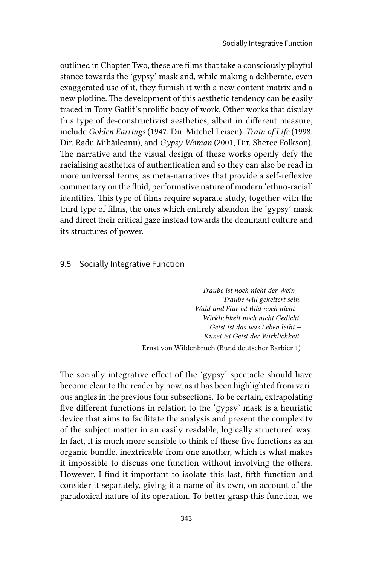outlined in Chapter Two, these are films that take a consciously playful stance towards the 'gypsy' mask and, while making a deliberate, even exaggerated use of it, they furnish it with a new content matrix and a new plotline. The development of this aesthetic tendency can be easily traced in Tony Gatlif's prolific body of work. Other works that display this type of de-constructivist aesthetics, albeit in different measure, include *Golden Earrings* (1947, Dir. Mitchel Leisen), *Train of Life* (1998, Dir. Radu Mihăileanu), and *Gypsy Woman* (2001, Dir. Sheree Folkson). The narrative and the visual design of these works openly defy the racialising aesthetics of authentication and so they can also be read in more universal terms, as meta-narratives that provide a self-reflexive commentary on the fluid, performative nature of modern 'ethno-racial' identities. This type of films require separate study, together with the third type of films, the ones which entirely abandon the 'gypsy' mask and direct their critical gaze instead towards the dominant culture and its structures of power.

#### 9.5 Socially Integrative Function

*Traube ist noch nicht der Wein – Traube will gekeltert sein. Wald und Flur ist Bild noch nicht – Wirklichkeit noch nicht Gedicht. Geist ist das was Leben leiht – Kunst ist Geist der Wirklichkeit.* Ernst von Wildenbruch (Bund deutscher Barbier 1)

The socially integrative effect of the 'gypsy' spectacle should have become clear to the reader by now, as it has been highlighted from various angles in the previous four subsections. To be certain, extrapolating five different functions in relation to the 'gypsy' mask is a heuristic device that aims to facilitate the analysis and present the complexity of the subject matter in an easily readable, logically structured way. In fact, it is much more sensible to think of these five functions as an organic bundle, inextricable from one another, which is what makes it impossible to discuss one function without involving the others. However, I find it important to isolate this last, fifth function and consider it separately, giving it a name of its own, on account of the paradoxical nature of its operation. To better grasp this function, we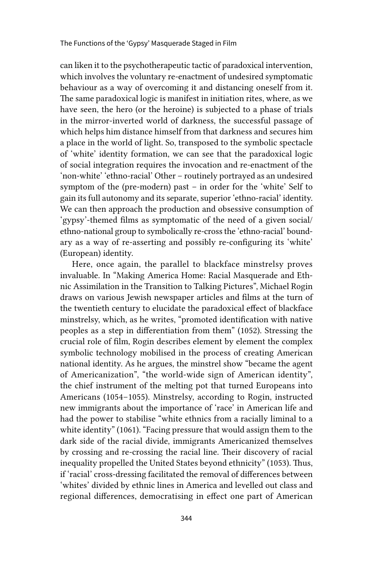can liken it to the psychotherapeutic tactic of paradoxical intervention, which involves the voluntary re-enactment of undesired symptomatic behaviour as a way of overcoming it and distancing oneself from it. The same paradoxical logic is manifest in initiation rites, where, as we have seen, the hero (or the heroine) is subjected to a phase of trials in the mirror-inverted world of darkness, the successful passage of which helps him distance himself from that darkness and secures him a place in the world of light. So, transposed to the symbolic spectacle of 'white' identity formation, we can see that the paradoxical logic of social integration requires the invocation and re-enactment of the 'non-white' 'ethno-racial' Other – routinely portrayed as an undesired symptom of the (pre-modern) past – in order for the 'white' Self to gain its full autonomy and its separate, superior 'ethno-racial' identity. We can then approach the production and obsessive consumption of 'gypsy'-themed films as symptomatic of the need of a given social/ ethno-national group to symbolically re-cross the 'ethno-racial' boundary as a way of re-asserting and possibly re-configuring its 'white' (European) identity.

Here, once again, the parallel to blackface minstrelsy proves invaluable. In "Making America Home: Racial Masquerade and Ethnic Assimilation in the Transition to Talking Pictures", Michael Rogin draws on various Jewish newspaper articles and films at the turn of the twentieth century to elucidate the paradoxical effect of blackface minstrelsy, which, as he writes, "promoted identification with native peoples as a step in differentiation from them" (1052). Stressing the crucial role of film, Rogin describes element by element the complex symbolic technology mobilised in the process of creating American national identity. As he argues, the minstrel show "became the agent of Americanization", "the world-wide sign of American identity", the chief instrument of the melting pot that turned Europeans into Americans (1054–1055). Minstrelsy, according to Rogin, instructed new immigrants about the importance of 'race' in American life and had the power to stabilise "white ethnics from a racially liminal to a white identity" (1061). "Facing pressure that would assign them to the dark side of the racial divide, immigrants Americanized themselves by crossing and re-crossing the racial line. Their discovery of racial inequality propelled the United States beyond ethnicity" (1053). Thus, if 'racial' cross-dressing facilitated the removal of differences between 'whites' divided by ethnic lines in America and levelled out class and regional differences, democratising in effect one part of American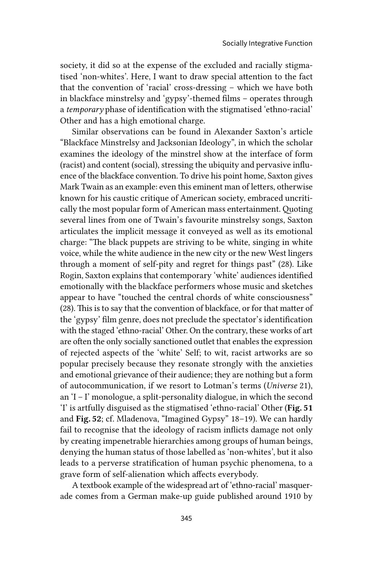society, it did so at the expense of the excluded and racially stigmatised 'non-whites'. Here, I want to draw special attention to the fact that the convention of 'racial' cross-dressing – which we have both in blackface minstrelsy and 'gypsy'-themed films – operates through a *temporary* phase of identification with the stigmatised 'ethno-racial' Other and has a high emotional charge.

Similar observations can be found in Alexander Saxton's article "Blackface Minstrelsy and Jacksonian Ideology", in which the scholar examines the ideology of the minstrel show at the interface of form (racist) and content (social), stressing the ubiquity and pervasive influence of the blackface convention. To drive his point home, Saxton gives Mark Twain as an example: even this eminent man of letters, otherwise known for his caustic critique of American society, embraced uncritically the most popular form of American mass entertainment. Quoting several lines from one of Twain's favourite minstrelsy songs, Saxton articulates the implicit message it conveyed as well as its emotional charge: "The black puppets are striving to be white, singing in white voice, while the white audience in the new city or the new West lingers through a moment of self-pity and regret for things past" (28). Like Rogin, Saxton explains that contemporary 'white' audiences identified emotionally with the blackface performers whose music and sketches appear to have "touched the central chords of white consciousness" (28). This is to say that the convention of blackface, or for that matter of the 'gypsy' film genre, does not preclude the spectator's identification with the staged 'ethno-racial' Other. On the contrary, these works of art are often the only socially sanctioned outlet that enables the expression of rejected aspects of the 'white' Self; to wit, racist artworks are so popular precisely because they resonate strongly with the anxieties and emotional grievance of their audience; they are nothing but a form of autocommunication, if we resort to Lotman's terms (*Universe* 21), an 'I – I' monologue, a split-personality dialogue, in which the second 'I' is artfully disguised as the stigmatised 'ethno-racial' Other (Fig. 51 and Fig. 52; cf. Mladenova, "Imagined Gypsy" 18–19). We can hardly fail to recognise that the ideology of racism inflicts damage not only by creating impenetrable hierarchies among groups of human beings, denying the human status of those labelled as 'non-whites', but it also leads to a perverse stratification of human psychic phenomena, to a grave form of self-alienation which affects everybody.

A textbook example of the widespread art of 'ethno-racial' masquerade comes from a German make-up guide published around 1910 by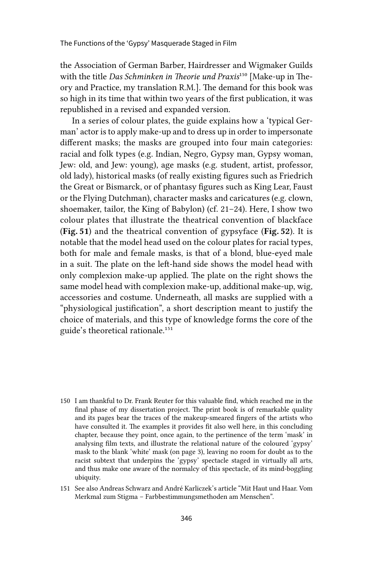the Association of German Barber, Hairdresser and Wigmaker Guilds with the title *Das Schminken in Theorie und Praxis*150 [Make-up in Theory and Practice, my translation R.M.]. The demand for this book was so high in its time that within two years of the first publication, it was republished in a revised and expanded version.

In a series of colour plates, the guide explains how a 'typical German' actor is to apply make-up and to dress up in order to impersonate different masks; the masks are grouped into four main categories: racial and folk types (e.g. Indian, Negro, Gypsy man, Gypsy woman, Jew: old, and Jew: young), age masks (e.g. student, artist, professor, old lady), historical masks (of really existing figures such as Friedrich the Great or Bismarck, or of phantasy figures such as King Lear, Faust or the Flying Dutchman), character masks and caricatures (e.g. clown, shoemaker, tailor, the King of Babylon) (cf. 21–24). Here, I show two colour plates that illustrate the theatrical convention of blackface (Fig. 51) and the theatrical convention of gypsyface (Fig. 52). It is notable that the model head used on the colour plates for racial types, both for male and female masks, is that of a blond, blue-eyed male in a suit. The plate on the left-hand side shows the model head with only complexion make-up applied. The plate on the right shows the same model head with complexion make-up, additional make-up, wig, accessories and costume. Underneath, all masks are supplied with a "physiological justification", a short description meant to justify the choice of materials, and this type of knowledge forms the core of the guide's theoretical rationale.151

- 150 I am thankful to Dr. Frank Reuter for this valuable find, which reached me in the final phase of my dissertation project. The print book is of remarkable quality and its pages bear the traces of the makeup-smeared fingers of the artists who have consulted it. The examples it provides fit also well here, in this concluding chapter, because they point, once again, to the pertinence of the term 'mask' in analysing film texts, and illustrate the relational nature of the coloured 'gypsy' mask to the blank 'white' mask (on page 3), leaving no room for doubt as to the racist subtext that underpins the 'gypsy' spectacle staged in virtually all arts, and thus make one aware of the normalcy of this spectacle, of its mind-boggling ubiquity.
- 151 See also Andreas Schwarz and André Karliczek's article "Mit Haut und Haar. Vom Merkmal zum Stigma – Farbbestimmungsmethoden am Menschen".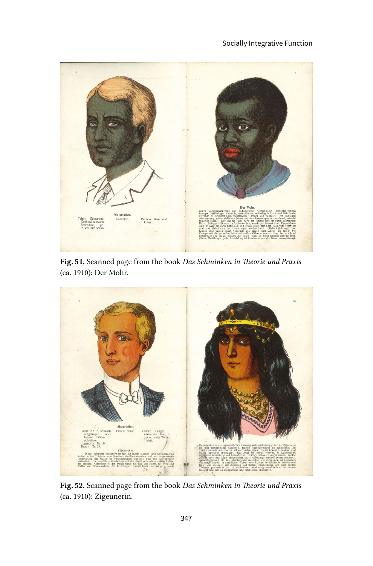

Fig. 51. Scanned page from the book *Das Schminken in Theorie und Praxis* (ca. 1910): Der Mohr.



Fig. 52. Scanned page from the book *Das Schminken in Theorie und Praxis*  (ca. 1910): Zigeunerin.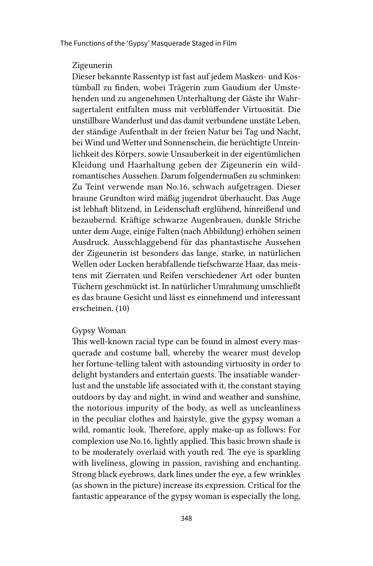#### Zigeunerin

Dieser bekannte Rassentyp ist fast auf jedem Masken- und Kostümball zu finden, wobei Trägerin zum Gaudium der Umstehenden und zu angenehmen Unterhaltung der Gäste ihr Wahrsagertalent entfalten muss mit verblüffender Virtuosität. Die unstillbare Wanderlust und das damit verbundene unstäte Leben, der ständige Aufenthalt in der freien Natur bei Tag und Nacht, bei Wind und Wetter und Sonnenschein, die berüchtigte Unreinlichkeit des Körpers, sowie Unsauberkeit in der eigentümlichen Kleidung und Haarhaltung geben der Zigeunerin ein wildromantisches Aussehen. Darum folgendermaßen zu schminken: Zu Teint verwende man No.16, schwach aufgetragen. Dieser braune Grundton wird mäßig jugendrot überhaucht. Das Auge ist lebhaft blitzend, in Leidenschaft erglühend, hinreißend und bezaubernd. Kräftige schwarze Augenbrauen, dunkle Striche unter dem Auge, einige Falten (nach Abbildung) erhöhen seinen Ausdruck. Ausschlaggebend für das phantastische Aussehen der Zigeunerin ist besonders das lange, starke, in natürlichen Wellen oder Locken herabfallende tiefschwarze Haar, das meistens mit Zierraten und Reifen verschiedener Art oder bunten Tüchern geschmückt ist. In natürlicher Umrahmung umschließt es das braune Gesicht und lässt es einnehmend und interessant erscheinen. (10)

### Gypsy Woman

This well-known racial type can be found in almost every masquerade and costume ball, whereby the wearer must develop her fortune-telling talent with astounding virtuosity in order to delight bystanders and entertain guests. The insatiable wanderlust and the unstable life associated with it, the constant staying outdoors by day and night, in wind and weather and sunshine, the notorious impurity of the body, as well as uncleanliness in the peculiar clothes and hairstyle, give the gypsy woman a wild, romantic look. Therefore, apply make-up as follows: For complexion use No.16, lightly applied. This basic brown shade is to be moderately overlaid with youth red. The eye is sparkling with liveliness, glowing in passion, ravishing and enchanting. Strong black eyebrows, dark lines under the eye, a few wrinkles (as shown in the picture) increase its expression. Critical for the fantastic appearance of the gypsy woman is especially the long,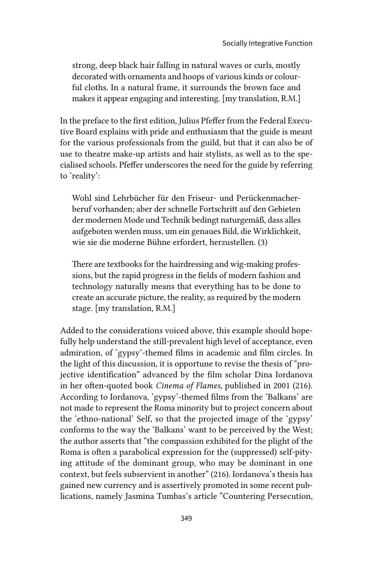strong, deep black hair falling in natural waves or curls, mostly decorated with ornaments and hoops of various kinds or colourful cloths. In a natural frame, it surrounds the brown face and makes it appear engaging and interesting. [my translation, R.M.]

In the preface to the first edition, Julius Pfeffer from the Federal Executive Board explains with pride and enthusiasm that the guide is meant for the various professionals from the guild, but that it can also be of use to theatre make-up artists and hair stylists, as well as to the specialised schools. Pfeffer underscores the need for the guide by referring to 'reality':

Wohl sind Lehrbücher für den Friseur- und Perückenmacherberuf vorhanden; aber der schnelle Fortschritt auf den Gebieten der modernen Mode und Technik bedingt naturgemäß, dass alles aufgeboten werden muss, um ein genaues Bild, die Wirklichkeit, wie sie die moderne Bühne erfordert, herzustellen. (3)

There are textbooks for the hairdressing and wig-making professions, but the rapid progress in the fields of modern fashion and technology naturally means that everything has to be done to create an accurate picture, the reality, as required by the modern stage. [my translation, R.M.]

Added to the considerations voiced above, this example should hopefully help understand the still-prevalent high level of acceptance, even admiration, of 'gypsy'-themed films in academic and film circles. In the light of this discussion, it is opportune to revise the thesis of "projective identification" advanced by the film scholar Dina Iordanova in her often-quoted book *Cinema of Flames,* published in 2001 (216). According to Iordanova, 'gypsy'-themed films from the 'Balkans' are not made to represent the Roma minority but to project concern about the 'ethno-national' Self, so that the projected image of the 'gypsy' conforms to the way the 'Balkans' want to be perceived by the West; the author asserts that "the compassion exhibited for the plight of the Roma is often a parabolical expression for the (suppressed) self-pitying attitude of the dominant group, who may be dominant in one context, but feels subservient in another" (216). Iordanova's thesis has gained new currency and is assertively promoted in some recent publications, namely Jasmina Tumbas's article "Countering Persecution,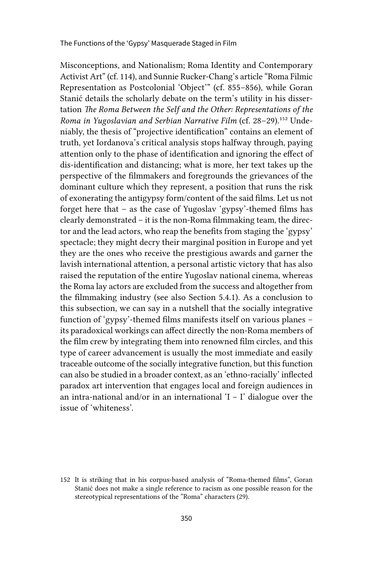The Functions of the 'Gypsy' Masquerade Staged in Film

Misconceptions, and Nationalism; Roma Identity and Contemporary Activist Art" (cf. 114), and Sunnie Rucker-Chang's article "Roma Filmic Representation as Postcolonial 'Object'" (cf. 855–856), while Goran Stanić details the scholarly debate on the term's utility in his dissertation *The Roma Between the Self and the Other: Representations of the Roma in Yugoslavian and Serbian Narrative Film* (cf. 28–29).152 Undeniably, the thesis of "projective identification" contains an element of truth, yet Iordanova's critical analysis stops halfway through, paying attention only to the phase of identification and ignoring the effect of dis-identification and distancing; what is more, her text takes up the perspective of the filmmakers and foregrounds the grievances of the dominant culture which they represent, a position that runs the risk of exonerating the antigypsy form/content of the said films. Let us not forget here that – as the case of Yugoslav 'gypsy'-themed films has clearly demonstrated – it is the non-Roma filmmaking team, the director and the lead actors, who reap the benefits from staging the 'gypsy' spectacle; they might decry their marginal position in Europe and yet they are the ones who receive the prestigious awards and garner the lavish international attention, a personal artistic victory that has also raised the reputation of the entire Yugoslav national cinema, whereas the Roma lay actors are excluded from the success and altogether from the filmmaking industry (see also Section 5.4.1). As a conclusion to this subsection, we can say in a nutshell that the socially integrative function of 'gypsy'-themed films manifests itself on various planes – its paradoxical workings can affect directly the non-Roma members of the film crew by integrating them into renowned film circles, and this type of career advancement is usually the most immediate and easily traceable outcome of the socially integrative function, but this function can also be studied in a broader context, as an 'ethno-racially' inflected paradox art intervention that engages local and foreign audiences in an intra-national and/or in an international  $I - I'$  dialogue over the issue of 'whiteness'.

<sup>152</sup> It is striking that in his corpus-based analysis of "Roma-themed films", Goran Stanić does not make a single reference to racism as one possible reason for the stereotypical representations of the "Roma" characters (29).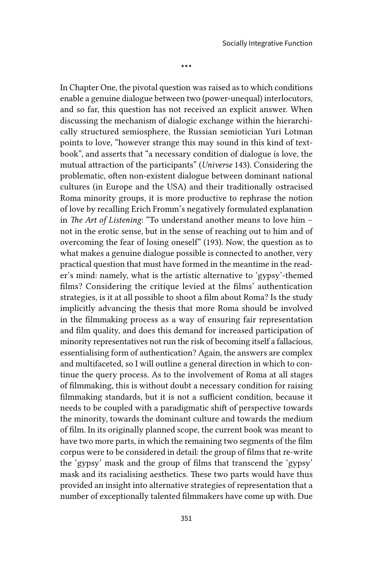\*\*\*

In Chapter One, the pivotal question was raised as to which conditions enable a genuine dialogue between two (power-unequal) interlocutors, and so far, this question has not received an explicit answer. When discussing the mechanism of dialogic exchange within the hierarchically structured semiosphere, the Russian semiotician Yuri Lotman points to love, "however strange this may sound in this kind of textbook", and asserts that "a necessary condition of dialogue is love, the mutual attraction of the participants" (*Universe* 143). Considering the problematic, often non-existent dialogue between dominant national cultures (in Europe and the USA) and their traditionally ostracised Roma minority groups, it is more productive to rephrase the notion of love by recalling Erich Fromm's negatively formulated explanation in *The Art of Listening*: "To understand another means to love him – not in the erotic sense, but in the sense of reaching out to him and of overcoming the fear of losing oneself" (193). Now, the question as to what makes a genuine dialogue possible is connected to another, very practical question that must have formed in the meantime in the reader's mind: namely, what is the artistic alternative to 'gypsy'-themed films? Considering the critique levied at the films' authentication strategies, is it at all possible to shoot a film about Roma? Is the study implicitly advancing the thesis that more Roma should be involved in the filmmaking process as a way of ensuring fair representation and film quality, and does this demand for increased participation of minority representatives not run the risk of becoming itself a fallacious, essentialising form of authentication? Again, the answers are complex and multifaceted, so I will outline a general direction in which to continue the query process. As to the involvement of Roma at all stages of filmmaking, this is without doubt a necessary condition for raising filmmaking standards, but it is not a sufficient condition, because it needs to be coupled with a paradigmatic shift of perspective towards the minority, towards the dominant culture and towards the medium of film. In its originally planned scope, the current book was meant to have two more parts, in which the remaining two segments of the film corpus were to be considered in detail: the group of films that re-write the 'gypsy' mask and the group of films that transcend the 'gypsy' mask and its racialising aesthetics. These two parts would have thus provided an insight into alternative strategies of representation that a number of exceptionally talented filmmakers have come up with. Due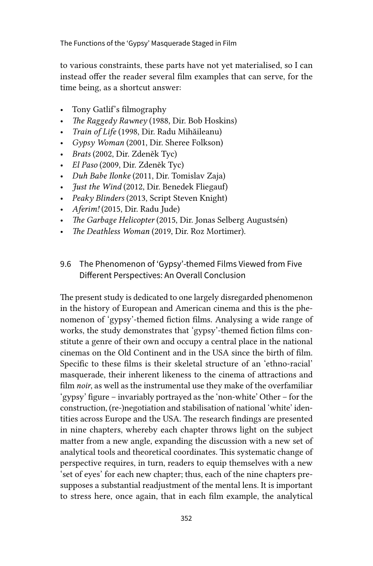The Functions of the 'Gypsy' Masquerade Staged in Film

to various constraints, these parts have not yet materialised, so I can instead offer the reader several film examples that can serve, for the time being, as a shortcut answer:

- Tony Gatlif's filmography
- *The Raggedy Rawney* (1988, Dir. Bob Hoskins)
- *Train of Life* (1998, Dir. Radu Mihăileanu)
- *Gypsy Woman* (2001, Dir. Sheree Folkson)
- *Brats* (2002, Dir. Zdeněk Tyc)
- *El Paso* (2009, Dir. Zdeněk Tyc)
- *Duh Babe Ilonke* (2011, Dir. Tomislav Zaja)
- *Just the Wind* (2012, Dir. Benedek Fliegauf)
- *Peaky Blinders* (2013, Script Steven Knight)
- *Aferim!* (2015, Dir. Radu Jude)
- *The Garbage Helicopter* (2015, Dir. Jonas Selberg Augustsén)
- *The Deathless Woman* (2019, Dir. Roz Mortimer).

## 9.6 The Phenomenon of 'Gypsy'-themed Films Viewed from Five Different Perspectives: An Overall Conclusion

The present study is dedicated to one largely disregarded phenomenon in the history of European and American cinema and this is the phenomenon of 'gypsy'-themed fiction films. Analysing a wide range of works, the study demonstrates that 'gypsy'-themed fiction films constitute a genre of their own and occupy a central place in the national cinemas on the Old Continent and in the USA since the birth of film. Specific to these films is their skeletal structure of an 'ethno-racial' masquerade, their inherent likeness to the cinema of attractions and film *noir*, as well as the instrumental use they make of the overfamiliar 'gypsy' figure – invariably portrayed as the 'non-white' Other – for the construction, (re-)negotiation and stabilisation of national 'white' identities across Europe and the USA. The research findings are presented in nine chapters, whereby each chapter throws light on the subject matter from a new angle, expanding the discussion with a new set of analytical tools and theoretical coordinates. This systematic change of perspective requires, in turn, readers to equip themselves with a new 'set of eyes' for each new chapter; thus, each of the nine chapters presupposes a substantial readjustment of the mental lens. It is important to stress here, once again, that in each film example, the analytical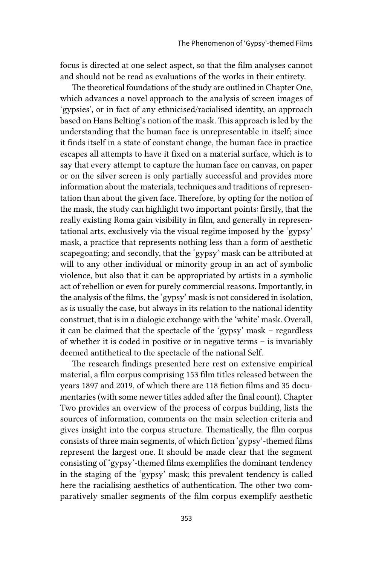focus is directed at one select aspect, so that the film analyses cannot and should not be read as evaluations of the works in their entirety.

The theoretical foundations of the study are outlined in Chapter One, which advances a novel approach to the analysis of screen images of 'gypsies', or in fact of any ethnicised/racialised identity, an approach based on Hans Belting's notion of the mask. This approach is led by the understanding that the human face is unrepresentable in itself; since it finds itself in a state of constant change, the human face in practice escapes all attempts to have it fixed on a material surface, which is to say that every attempt to capture the human face on canvas, on paper or on the silver screen is only partially successful and provides more information about the materials, techniques and traditions of representation than about the given face. Therefore, by opting for the notion of the mask, the study can highlight two important points: firstly, that the really existing Roma gain visibility in film, and generally in representational arts, exclusively via the visual regime imposed by the 'gypsy' mask, a practice that represents nothing less than a form of aesthetic scapegoating; and secondly, that the 'gypsy' mask can be attributed at will to any other individual or minority group in an act of symbolic violence, but also that it can be appropriated by artists in a symbolic act of rebellion or even for purely commercial reasons. Importantly, in the analysis of the films, the 'gypsy' mask is not considered in isolation, as is usually the case, but always in its relation to the national identity construct, that is in a dialogic exchange with the 'white' mask. Overall, it can be claimed that the spectacle of the 'gypsy' mask – regardless of whether it is coded in positive or in negative terms – is invariably deemed antithetical to the spectacle of the national Self.

The research findings presented here rest on extensive empirical material, a film corpus comprising 153 film titles released between the years 1897 and 2019, of which there are 118 fiction films and 35 documentaries (with some newer titles added after the final count). Chapter Two provides an overview of the process of corpus building, lists the sources of information, comments on the main selection criteria and gives insight into the corpus structure. Thematically, the film corpus consists of three main segments, of which fiction 'gypsy'-themed films represent the largest one. It should be made clear that the segment consisting of 'gypsy'-themed films exemplifies the dominant tendency in the staging of the 'gypsy' mask; this prevalent tendency is called here the racialising aesthetics of authentication. The other two comparatively smaller segments of the film corpus exemplify aesthetic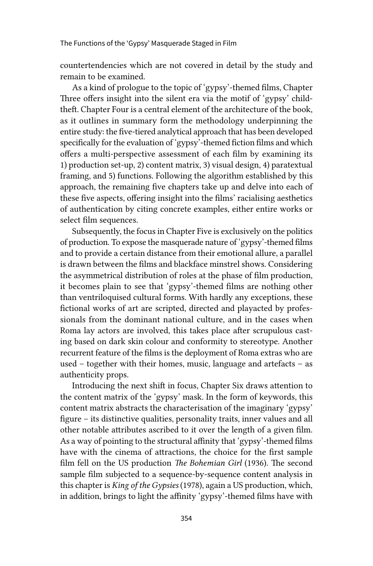countertendencies which are not covered in detail by the study and remain to be examined.

As a kind of prologue to the topic of 'gypsy'-themed films, Chapter Three offers insight into the silent era via the motif of 'gypsy' childtheft. Chapter Four is a central element of the architecture of the book, as it outlines in summary form the methodology underpinning the entire study: the five-tiered analytical approach that has been developed specifically for the evaluation of 'gypsy'-themed fiction films and which offers a multi-perspective assessment of each film by examining its 1) production set-up, 2) content matrix, 3) visual design, 4) paratextual framing, and 5) functions. Following the algorithm established by this approach, the remaining five chapters take up and delve into each of these five aspects, offering insight into the films' racialising aesthetics of authentication by citing concrete examples, either entire works or select film sequences.

Subsequently, the focus in Chapter Five is exclusively on the politics of production. To expose the masquerade nature of 'gypsy'-themed films and to provide a certain distance from their emotional allure, a parallel is drawn between the films and blackface minstrel shows. Considering the asymmetrical distribution of roles at the phase of film production, it becomes plain to see that 'gypsy'-themed films are nothing other than ventriloquised cultural forms. With hardly any exceptions, these fictional works of art are scripted, directed and playacted by professionals from the dominant national culture, and in the cases when Roma lay actors are involved, this takes place after scrupulous casting based on dark skin colour and conformity to stereotype. Another recurrent feature of the films is the deployment of Roma extras who are used – together with their homes, music, language and artefacts – as authenticity props.

Introducing the next shift in focus, Chapter Six draws attention to the content matrix of the 'gypsy' mask. In the form of keywords, this content matrix abstracts the characterisation of the imaginary 'gypsy' figure – its distinctive qualities, personality traits, inner values and all other notable attributes ascribed to it over the length of a given film. As a way of pointing to the structural affinity that 'gypsy'-themed films have with the cinema of attractions, the choice for the first sample film fell on the US production *The Bohemian Girl* (1936). The second sample film subjected to a sequence-by-sequence content analysis in this chapter is *King of the Gypsies* (1978), again a US production, which, in addition, brings to light the affinity 'gypsy'-themed films have with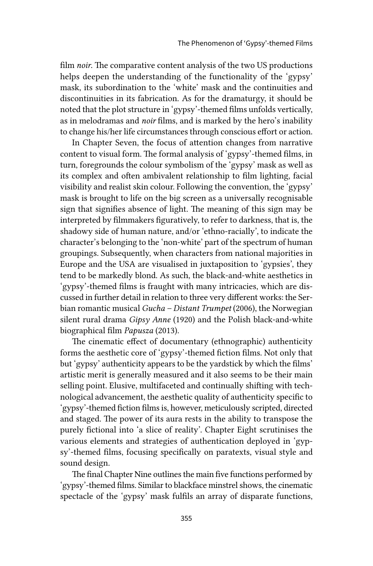film *noir*. The comparative content analysis of the two US productions helps deepen the understanding of the functionality of the 'gypsy' mask, its subordination to the 'white' mask and the continuities and discontinuities in its fabrication. As for the dramaturgy, it should be noted that the plot structure in 'gypsy'-themed films unfolds vertically, as in melodramas and *noir* films, and is marked by the hero's inability to change his/her life circumstances through conscious effort or action.

In Chapter Seven, the focus of attention changes from narrative content to visual form. The formal analysis of 'gypsy'-themed films, in turn, foregrounds the colour symbolism of the 'gypsy' mask as well as its complex and often ambivalent relationship to film lighting, facial visibility and realist skin colour. Following the convention, the 'gypsy' mask is brought to life on the big screen as a universally recognisable sign that signifies absence of light. The meaning of this sign may be interpreted by filmmakers figuratively, to refer to darkness, that is, the shadowy side of human nature, and/or 'ethno-racially', to indicate the character's belonging to the 'non-white' part of the spectrum of human groupings. Subsequently, when characters from national majorities in Europe and the USA are visualised in juxtaposition to 'gypsies', they tend to be markedly blond. As such, the black-and-white aesthetics in 'gypsy'-themed films is fraught with many intricacies, which are discussed in further detail in relation to three very different works: the Serbian romantic musical *Gucha – Distant Trumpet* (2006), the Norwegian silent rural drama *Gipsy Anne* (1920) and the Polish black-and-white biographical film *Papusza* (2013).

The cinematic effect of documentary (ethnographic) authenticity forms the aesthetic core of 'gypsy'-themed fiction films. Not only that but 'gypsy' authenticity appears to be the yardstick by which the films' artistic merit is generally measured and it also seems to be their main selling point. Elusive, multifaceted and continually shifting with technological advancement, the aesthetic quality of authenticity specific to 'gypsy'-themed fiction films is, however, meticulously scripted, directed and staged. The power of its aura rests in the ability to transpose the purely fictional into 'a slice of reality'. Chapter Eight scrutinises the various elements and strategies of authentication deployed in 'gypsy'-themed films, focusing specifically on paratexts, visual style and sound design.

The final Chapter Nine outlines the main five functions performed by 'gypsy'-themed films. Similar to blackface minstrel shows, the cinematic spectacle of the 'gypsy' mask fulfils an array of disparate functions,